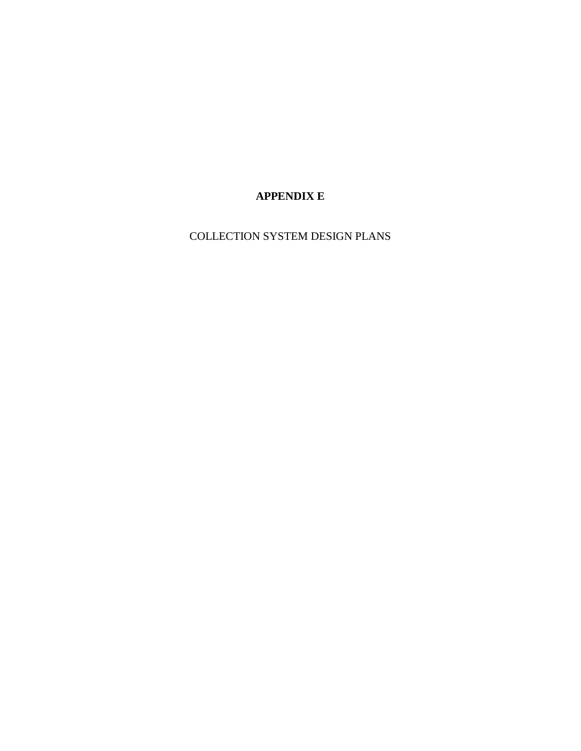# **APPENDIX E**

COLLECTION SYSTEM DESIGN PLANS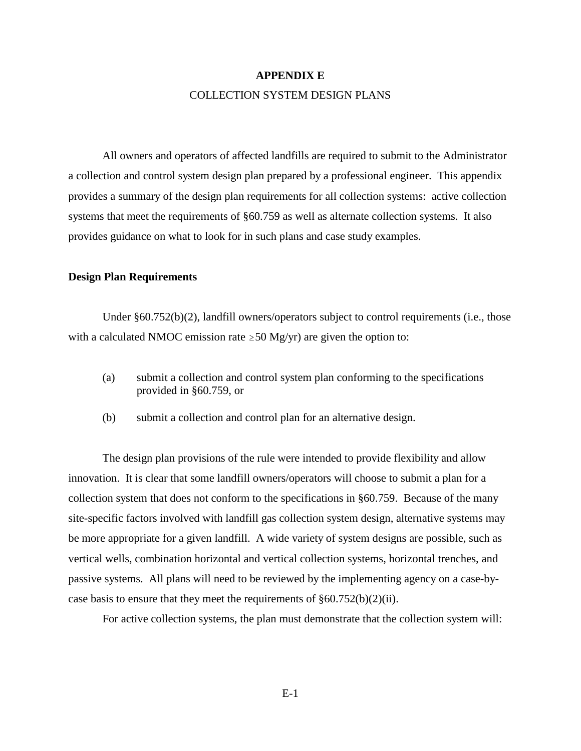#### **APPENDIX E**

#### COLLECTION SYSTEM DESIGN PLANS

All owners and operators of affected landfills are required to submit to the Administrator a collection and control system design plan prepared by a professional engineer. This appendix provides a summary of the design plan requirements for all collection systems: active collection systems that meet the requirements of §60.759 as well as alternate collection systems. It also provides guidance on what to look for in such plans and case study examples.

#### **Design Plan Requirements**

Under §60.752(b)(2), landfill owners/operators subject to control requirements (i.e., those with a calculated NMOC emission rate  $\geq$  50 Mg/yr) are given the option to:

- (a) submit a collection and control system plan conforming to the specifications provided in §60.759, or
- (b) submit a collection and control plan for an alternative design.

The design plan provisions of the rule were intended to provide flexibility and allow innovation. It is clear that some landfill owners/operators will choose to submit a plan for a collection system that does not conform to the specifications in §60.759. Because of the many site-specific factors involved with landfill gas collection system design, alternative systems may be more appropriate for a given landfill. A wide variety of system designs are possible, such as vertical wells, combination horizontal and vertical collection systems, horizontal trenches, and passive systems. All plans will need to be reviewed by the implementing agency on a case-bycase basis to ensure that they meet the requirements of  $§60.752(b)(2)(ii)$ .

For active collection systems, the plan must demonstrate that the collection system will: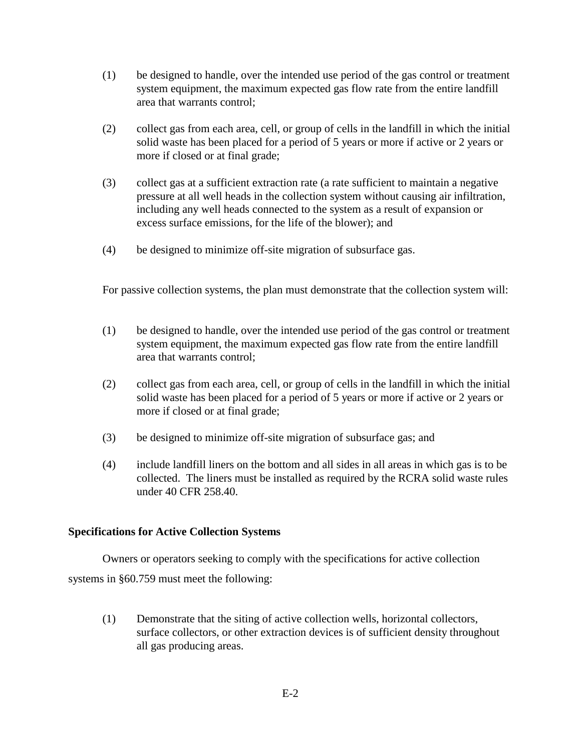- (1) be designed to handle, over the intended use period of the gas control or treatment system equipment, the maximum expected gas flow rate from the entire landfill area that warrants control;
- (2) collect gas from each area, cell, or group of cells in the landfill in which the initial solid waste has been placed for a period of 5 years or more if active or 2 years or more if closed or at final grade;
- (3) collect gas at a sufficient extraction rate (a rate sufficient to maintain a negative pressure at all well heads in the collection system without causing air infiltration, including any well heads connected to the system as a result of expansion or excess surface emissions, for the life of the blower); and
- (4) be designed to minimize off-site migration of subsurface gas.

For passive collection systems, the plan must demonstrate that the collection system will:

- (1) be designed to handle, over the intended use period of the gas control or treatment system equipment, the maximum expected gas flow rate from the entire landfill area that warrants control;
- (2) collect gas from each area, cell, or group of cells in the landfill in which the initial solid waste has been placed for a period of 5 years or more if active or 2 years or more if closed or at final grade;
- (3) be designed to minimize off-site migration of subsurface gas; and
- (4) include landfill liners on the bottom and all sides in all areas in which gas is to be collected. The liners must be installed as required by the RCRA solid waste rules under 40 CFR 258.40.

#### **Specifications for Active Collection Systems**

Owners or operators seeking to comply with the specifications for active collection systems in §60.759 must meet the following:

(1) Demonstrate that the siting of active collection wells, horizontal collectors, surface collectors, or other extraction devices is of sufficient density throughout all gas producing areas.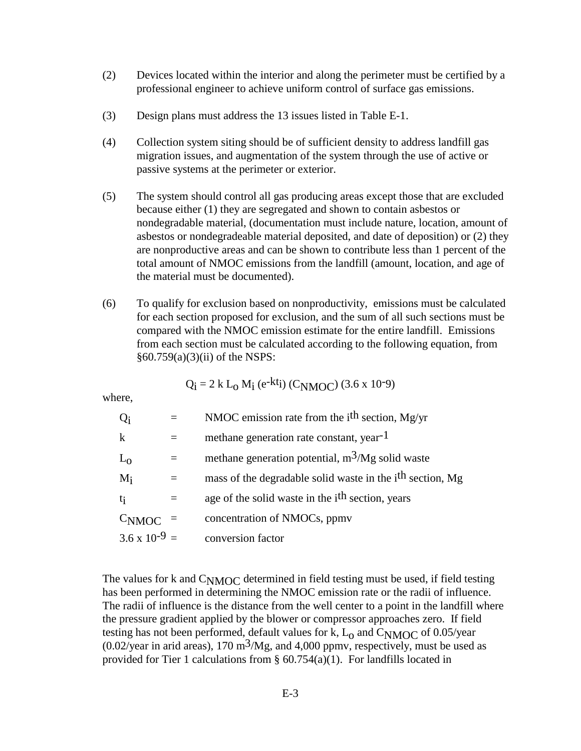- (2) Devices located within the interior and along the perimeter must be certified by a professional engineer to achieve uniform control of surface gas emissions.
- (3) Design plans must address the 13 issues listed in Table E-1.
- (4) Collection system siting should be of sufficient density to address landfill gas migration issues, and augmentation of the system through the use of active or passive systems at the perimeter or exterior.
- (5) The system should control all gas producing areas except those that are excluded because either (1) they are segregated and shown to contain asbestos or nondegradable material, (documentation must include nature, location, amount of asbestos or nondegradeable material deposited, and date of deposition) or (2) they are nonproductive areas and can be shown to contribute less than 1 percent of the total amount of NMOC emissions from the landfill (amount, location, and age of the material must be documented).
- (6) To qualify for exclusion based on nonproductivity, emissions must be calculated for each section proposed for exclusion, and the sum of all such sections must be compared with the NMOC emission estimate for the entire landfill. Emissions from each section must be calculated according to the following equation, from §60.759(a)(3)(ii) of the NSPS:

$$
Q_i = 2 k L_0 M_i (e^{-kt_i}) (C_{NMOC}) (3.6 x 10^{-9})
$$

where,

| $Q_i$                  | NMOC emission rate from the $ith$ section, Mg/yr                      |
|------------------------|-----------------------------------------------------------------------|
| $\mathbf k$            | methane generation rate constant, year <sup>-1</sup>                  |
| $L_0$                  | methane generation potential, $m^3/Mg$ solid waste                    |
| $M_i$                  | mass of the degradable solid waste in the i <sup>th</sup> section, Mg |
| $t_{1}$                | age of the solid waste in the <i>i</i> <sup>th</sup> section, years   |
| C <sub>NMOC</sub>      | concentration of NMOCs, ppmv                                          |
| $3.6 \times 10^{-9}$ = | conversion factor                                                     |

The values for k and  $C_{\rm NMOC}$  determined in field testing must be used, if field testing has been performed in determining the NMOC emission rate or the radii of influence. The radii of influence is the distance from the well center to a point in the landfill where the pressure gradient applied by the blower or compressor approaches zero. If field testing has not been performed, default values for k,  $L_0$  and  $C_{\rm NMOC}$  of 0.05/year  $(0.02/\text{year in arid areas})$ , 170 m<sup>3</sup>/Mg, and 4,000 ppmv, respectively, must be used as provided for Tier 1 calculations from  $\S$  60.754(a)(1). For landfills located in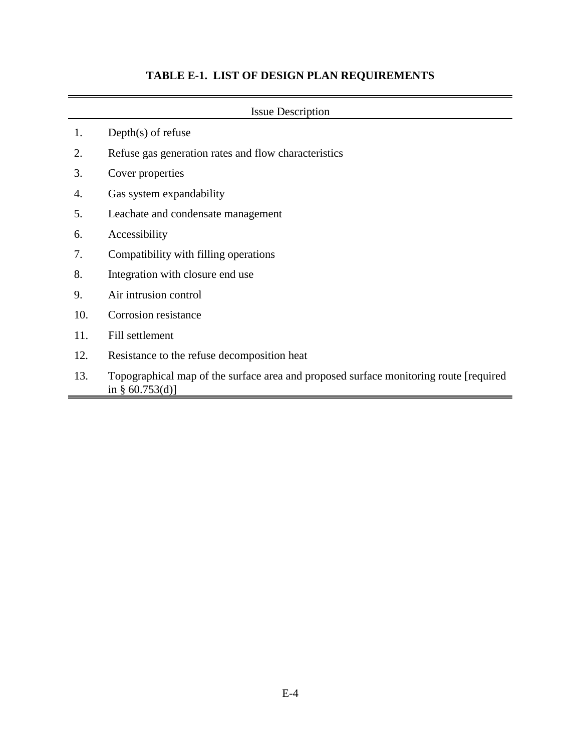# **TABLE E-1. LIST OF DESIGN PLAN REQUIREMENTS**

| <b>Issue Description</b> |                                                                                                             |  |  |
|--------------------------|-------------------------------------------------------------------------------------------------------------|--|--|
| 1.                       | Depth $(s)$ of refuse                                                                                       |  |  |
| 2.                       | Refuse gas generation rates and flow characteristics                                                        |  |  |
| 3.                       | Cover properties                                                                                            |  |  |
| 4.                       | Gas system expandability                                                                                    |  |  |
| 5.                       | Leachate and condensate management                                                                          |  |  |
| 6.                       | Accessibility                                                                                               |  |  |
| 7.                       | Compatibility with filling operations                                                                       |  |  |
| 8.                       | Integration with closure end use                                                                            |  |  |
| 9.                       | Air intrusion control                                                                                       |  |  |
| 10.                      | Corrosion resistance                                                                                        |  |  |
| 11.                      | Fill settlement                                                                                             |  |  |
| 12.                      | Resistance to the refuse decomposition heat                                                                 |  |  |
| 13.                      | Topographical map of the surface area and proposed surface monitoring route [required<br>in § $60.753(d)$ ] |  |  |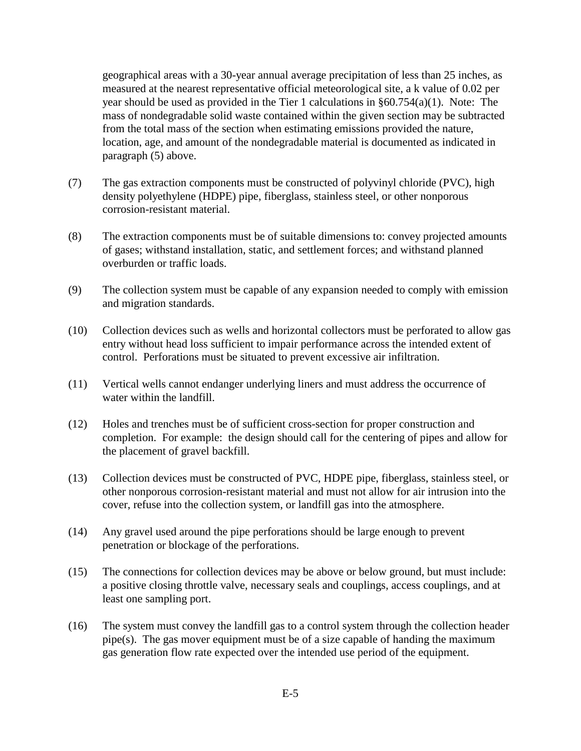geographical areas with a 30-year annual average precipitation of less than 25 inches, as measured at the nearest representative official meteorological site, a k value of 0.02 per year should be used as provided in the Tier 1 calculations in §60.754(a)(1). Note: The mass of nondegradable solid waste contained within the given section may be subtracted from the total mass of the section when estimating emissions provided the nature, location, age, and amount of the nondegradable material is documented as indicated in paragraph (5) above.

- (7) The gas extraction components must be constructed of polyvinyl chloride (PVC), high density polyethylene (HDPE) pipe, fiberglass, stainless steel, or other nonporous corrosion-resistant material.
- (8) The extraction components must be of suitable dimensions to: convey projected amounts of gases; withstand installation, static, and settlement forces; and withstand planned overburden or traffic loads.
- (9) The collection system must be capable of any expansion needed to comply with emission and migration standards.
- (10) Collection devices such as wells and horizontal collectors must be perforated to allow gas entry without head loss sufficient to impair performance across the intended extent of control. Perforations must be situated to prevent excessive air infiltration.
- (11) Vertical wells cannot endanger underlying liners and must address the occurrence of water within the landfill.
- (12) Holes and trenches must be of sufficient cross-section for proper construction and completion. For example: the design should call for the centering of pipes and allow for the placement of gravel backfill.
- (13) Collection devices must be constructed of PVC, HDPE pipe, fiberglass, stainless steel, or other nonporous corrosion-resistant material and must not allow for air intrusion into the cover, refuse into the collection system, or landfill gas into the atmosphere.
- (14) Any gravel used around the pipe perforations should be large enough to prevent penetration or blockage of the perforations.
- (15) The connections for collection devices may be above or below ground, but must include: a positive closing throttle valve, necessary seals and couplings, access couplings, and at least one sampling port.
- (16) The system must convey the landfill gas to a control system through the collection header pipe(s). The gas mover equipment must be of a size capable of handing the maximum gas generation flow rate expected over the intended use period of the equipment.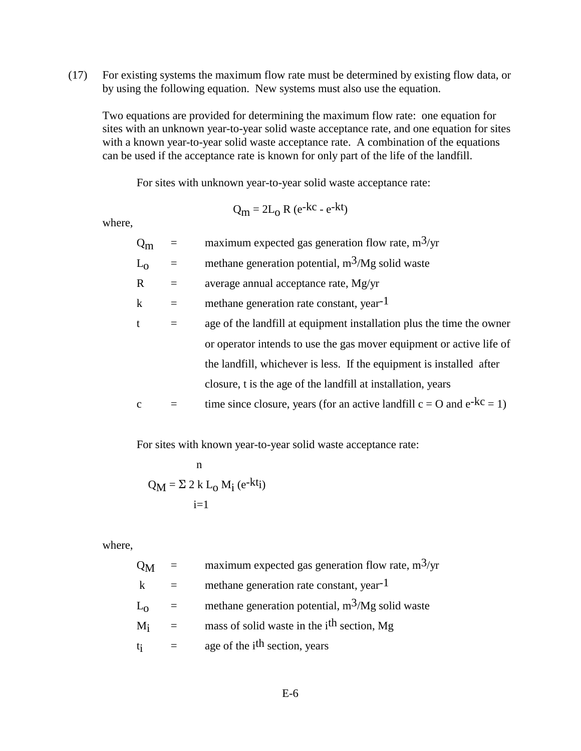(17) For existing systems the maximum flow rate must be determined by existing flow data, or by using the following equation. New systems must also use the equation.

Two equations are provided for determining the maximum flow rate: one equation for sites with an unknown year-to-year solid waste acceptance rate, and one equation for sites with a known year-to-year solid waste acceptance rate. A combination of the equations can be used if the acceptance rate is known for only part of the life of the landfill.

For sites with unknown year-to-year solid waste acceptance rate:

$$
Q_m = 2L_0 R (e^{-kc} - e^{-kt})
$$

where,

| $Q_{m}$      | maximum expected gas generation flow rate, $m^3$ /yr                          |
|--------------|-------------------------------------------------------------------------------|
| $L_0$        | methane generation potential, $m^3/Mg$ solid waste                            |
| $\mathbf R$  | average annual acceptance rate, Mg/yr                                         |
| $\bf k$      | methane generation rate constant, year <sup>-1</sup>                          |
| t            | age of the landfill at equipment installation plus the time the owner         |
|              | or operator intends to use the gas mover equipment or active life of          |
|              | the landfill, whichever is less. If the equipment is installed after          |
|              | closure, t is the age of the landfill at installation, years                  |
| $\mathbf{C}$ | time since closure, years (for an active landfill $c = O$ and $e^{-kC} = 1$ ) |

For sites with known year-to-year solid waste acceptance rate:

n  

$$
Q_M = \Sigma 2 k L_0 M_i (e^{-kt_i})
$$
  
i=1

where,

| $Q_{\rm M}$ | $=$ | maximum expected gas generation flow rate, $m^3$ /yr   |
|-------------|-----|--------------------------------------------------------|
| k           |     | methane generation rate constant, year <sup>-1</sup>   |
| $L_0$       |     | methane generation potential, $m^3/Mg$ solid waste     |
| $M_i$       | $=$ | mass of solid waste in the i <sup>th</sup> section, Mg |
| $t_i$       |     | age of the i <sup>th</sup> section, years              |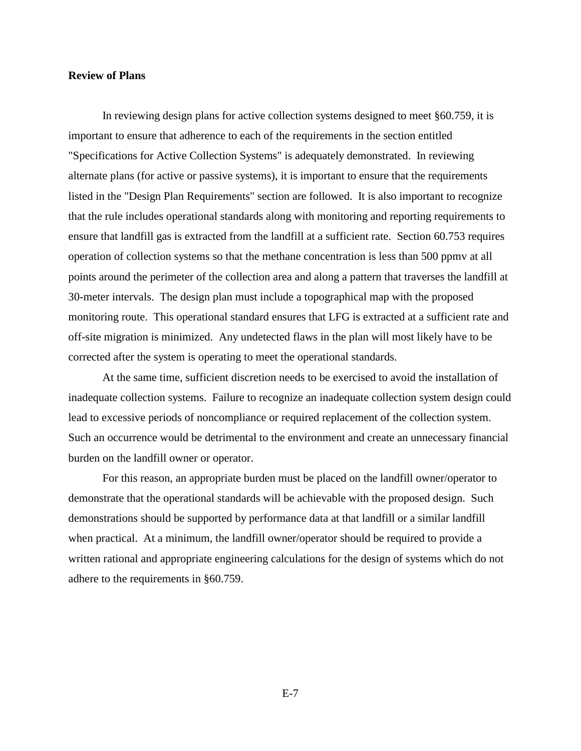#### **Review of Plans**

In reviewing design plans for active collection systems designed to meet §60.759, it is important to ensure that adherence to each of the requirements in the section entitled "Specifications for Active Collection Systems" is adequately demonstrated. In reviewing alternate plans (for active or passive systems), it is important to ensure that the requirements listed in the "Design Plan Requirements" section are followed. It is also important to recognize that the rule includes operational standards along with monitoring and reporting requirements to ensure that landfill gas is extracted from the landfill at a sufficient rate. Section 60.753 requires operation of collection systems so that the methane concentration is less than 500 ppmv at all points around the perimeter of the collection area and along a pattern that traverses the landfill at 30-meter intervals. The design plan must include a topographical map with the proposed monitoring route. This operational standard ensures that LFG is extracted at a sufficient rate and off-site migration is minimized. Any undetected flaws in the plan will most likely have to be corrected after the system is operating to meet the operational standards.

At the same time, sufficient discretion needs to be exercised to avoid the installation of inadequate collection systems. Failure to recognize an inadequate collection system design could lead to excessive periods of noncompliance or required replacement of the collection system. Such an occurrence would be detrimental to the environment and create an unnecessary financial burden on the landfill owner or operator.

For this reason, an appropriate burden must be placed on the landfill owner/operator to demonstrate that the operational standards will be achievable with the proposed design. Such demonstrations should be supported by performance data at that landfill or a similar landfill when practical. At a minimum, the landfill owner/operator should be required to provide a written rational and appropriate engineering calculations for the design of systems which do not adhere to the requirements in §60.759.

E-7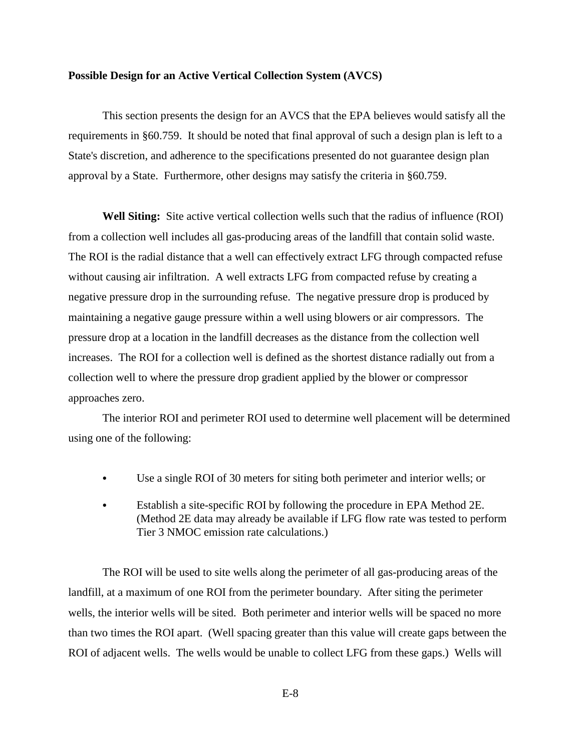#### **Possible Design for an Active Vertical Collection System (AVCS)**

This section presents the design for an AVCS that the EPA believes would satisfy all the requirements in §60.759. It should be noted that final approval of such a design plan is left to a State's discretion, and adherence to the specifications presented do not guarantee design plan approval by a State. Furthermore, other designs may satisfy the criteria in §60.759.

**Well Siting:** Site active vertical collection wells such that the radius of influence (ROI) from a collection well includes all gas-producing areas of the landfill that contain solid waste. The ROI is the radial distance that a well can effectively extract LFG through compacted refuse without causing air infiltration. A well extracts LFG from compacted refuse by creating a negative pressure drop in the surrounding refuse. The negative pressure drop is produced by maintaining a negative gauge pressure within a well using blowers or air compressors. The pressure drop at a location in the landfill decreases as the distance from the collection well increases. The ROI for a collection well is defined as the shortest distance radially out from a collection well to where the pressure drop gradient applied by the blower or compressor approaches zero.

The interior ROI and perimeter ROI used to determine well placement will be determined using one of the following:

- & Use a single ROI of 30 meters for siting both perimeter and interior wells; or
- Establish a site-specific ROI by following the procedure in EPA Method 2E. (Method 2E data may already be available if LFG flow rate was tested to perform Tier 3 NMOC emission rate calculations.)

The ROI will be used to site wells along the perimeter of all gas-producing areas of the landfill, at a maximum of one ROI from the perimeter boundary. After siting the perimeter wells, the interior wells will be sited. Both perimeter and interior wells will be spaced no more than two times the ROI apart. (Well spacing greater than this value will create gaps between the ROI of adjacent wells. The wells would be unable to collect LFG from these gaps.) Wells will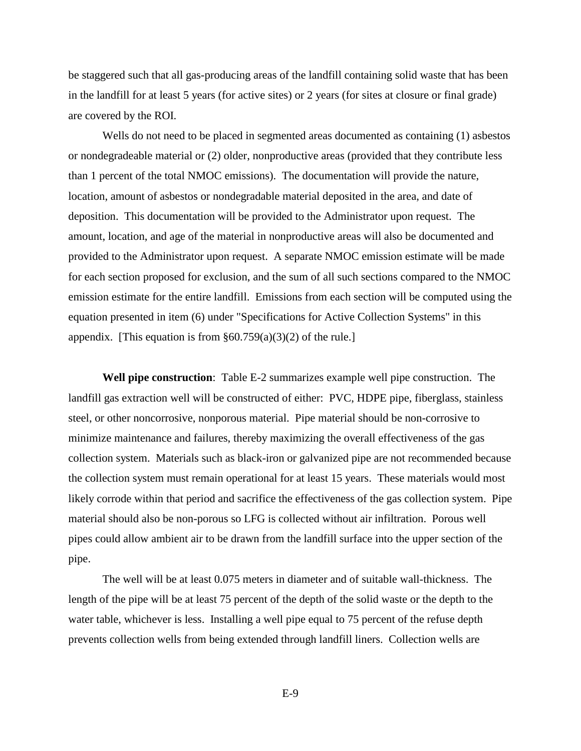be staggered such that all gas-producing areas of the landfill containing solid waste that has been in the landfill for at least 5 years (for active sites) or 2 years (for sites at closure or final grade) are covered by the ROI.

Wells do not need to be placed in segmented areas documented as containing (1) asbestos or nondegradeable material or (2) older, nonproductive areas (provided that they contribute less than 1 percent of the total NMOC emissions). The documentation will provide the nature, location, amount of asbestos or nondegradable material deposited in the area, and date of deposition. This documentation will be provided to the Administrator upon request. The amount, location, and age of the material in nonproductive areas will also be documented and provided to the Administrator upon request. A separate NMOC emission estimate will be made for each section proposed for exclusion, and the sum of all such sections compared to the NMOC emission estimate for the entire landfill. Emissions from each section will be computed using the equation presented in item (6) under "Specifications for Active Collection Systems" in this appendix. [This equation is from  $\S 60.759(a)(3)(2)$  of the rule.]

**Well pipe construction**: Table E-2 summarizes example well pipe construction. The landfill gas extraction well will be constructed of either: PVC, HDPE pipe, fiberglass, stainless steel, or other noncorrosive, nonporous material. Pipe material should be non-corrosive to minimize maintenance and failures, thereby maximizing the overall effectiveness of the gas collection system. Materials such as black-iron or galvanized pipe are not recommended because the collection system must remain operational for at least 15 years. These materials would most likely corrode within that period and sacrifice the effectiveness of the gas collection system. Pipe material should also be non-porous so LFG is collected without air infiltration. Porous well pipes could allow ambient air to be drawn from the landfill surface into the upper section of the pipe.

The well will be at least 0.075 meters in diameter and of suitable wall-thickness. The length of the pipe will be at least 75 percent of the depth of the solid waste or the depth to the water table, whichever is less. Installing a well pipe equal to 75 percent of the refuse depth prevents collection wells from being extended through landfill liners. Collection wells are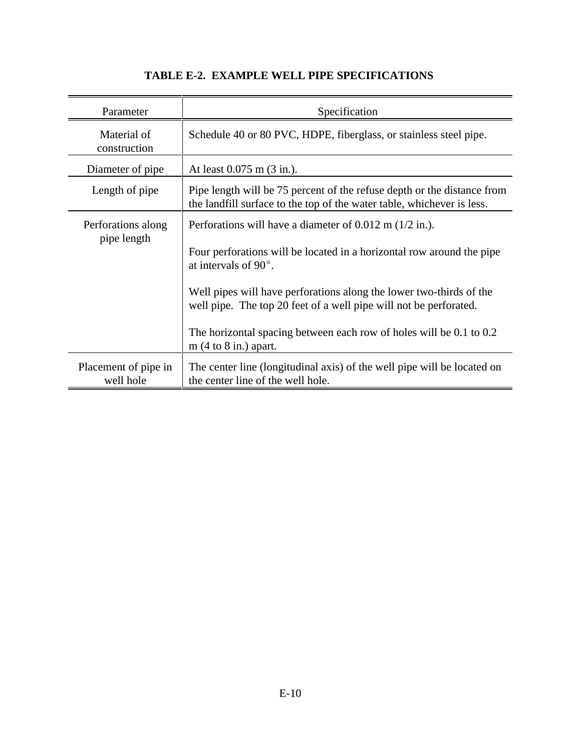| Parameter                         | Specification                                                                                                                                                                                                                                                                                                                                                                                                                       |  |  |
|-----------------------------------|-------------------------------------------------------------------------------------------------------------------------------------------------------------------------------------------------------------------------------------------------------------------------------------------------------------------------------------------------------------------------------------------------------------------------------------|--|--|
| Material of<br>construction       | Schedule 40 or 80 PVC, HDPE, fiberglass, or stainless steel pipe.                                                                                                                                                                                                                                                                                                                                                                   |  |  |
| Diameter of pipe                  | At least $0.075$ m $(3 \text{ in.})$ .                                                                                                                                                                                                                                                                                                                                                                                              |  |  |
| Length of pipe                    | Pipe length will be 75 percent of the refuse depth or the distance from<br>the landfill surface to the top of the water table, whichever is less.                                                                                                                                                                                                                                                                                   |  |  |
| Perforations along<br>pipe length | Perforations will have a diameter of $0.012$ m $(1/2$ in.).<br>Four perforations will be located in a horizontal row around the pipe<br>at intervals of $90^\circ$ .<br>Well pipes will have perforations along the lower two-thirds of the<br>well pipe. The top 20 feet of a well pipe will not be perforated.<br>The horizontal spacing between each row of holes will be 0.1 to 0.2<br>m $(4 \text{ to } 8 \text{ in.})$ apart. |  |  |
| Placement of pipe in<br>well hole | The center line (longitudinal axis) of the well pipe will be located on<br>the center line of the well hole.                                                                                                                                                                                                                                                                                                                        |  |  |

### **TABLE E-2. EXAMPLE WELL PIPE SPECIFICATIONS**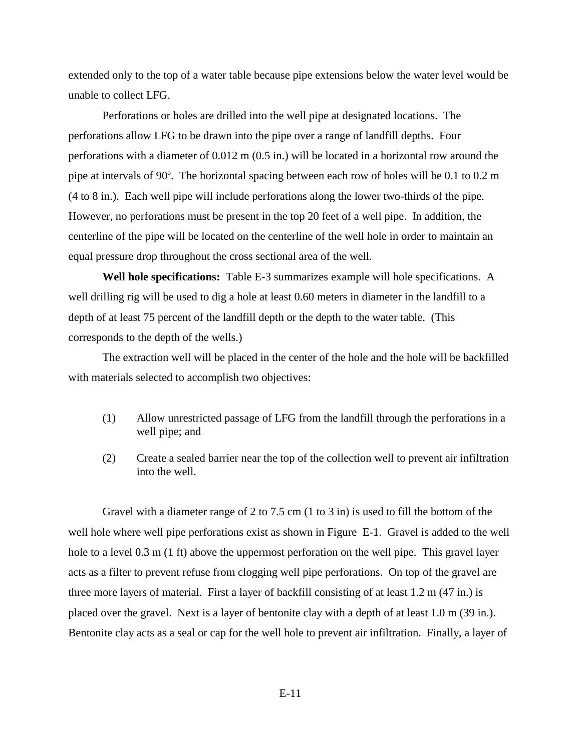extended only to the top of a water table because pipe extensions below the water level would be unable to collect LFG.

Perforations or holes are drilled into the well pipe at designated locations. The perforations allow LFG to be drawn into the pipe over a range of landfill depths. Four perforations with a diameter of 0.012 m (0.5 in.) will be located in a horizontal row around the pipe at intervals of  $90^\circ$ . The horizontal spacing between each row of holes will be 0.1 to 0.2 m (4 to 8 in.). Each well pipe will include perforations along the lower two-thirds of the pipe. However, no perforations must be present in the top 20 feet of a well pipe. In addition, the centerline of the pipe will be located on the centerline of the well hole in order to maintain an equal pressure drop throughout the cross sectional area of the well.

**Well hole specifications:** Table E-3 summarizes example will hole specifications. A well drilling rig will be used to dig a hole at least 0.60 meters in diameter in the landfill to a depth of at least 75 percent of the landfill depth or the depth to the water table. (This corresponds to the depth of the wells.)

The extraction well will be placed in the center of the hole and the hole will be backfilled with materials selected to accomplish two objectives:

- (1) Allow unrestricted passage of LFG from the landfill through the perforations in a well pipe; and
- (2) Create a sealed barrier near the top of the collection well to prevent air infiltration into the well.

Gravel with a diameter range of 2 to 7.5 cm (1 to 3 in) is used to fill the bottom of the well hole where well pipe perforations exist as shown in Figure E-1. Gravel is added to the well hole to a level 0.3 m (1 ft) above the uppermost perforation on the well pipe. This gravel layer acts as a filter to prevent refuse from clogging well pipe perforations. On top of the gravel are three more layers of material. First a layer of backfill consisting of at least 1.2 m (47 in.) is placed over the gravel. Next is a layer of bentonite clay with a depth of at least 1.0 m (39 in.). Bentonite clay acts as a seal or cap for the well hole to prevent air infiltration. Finally, a layer of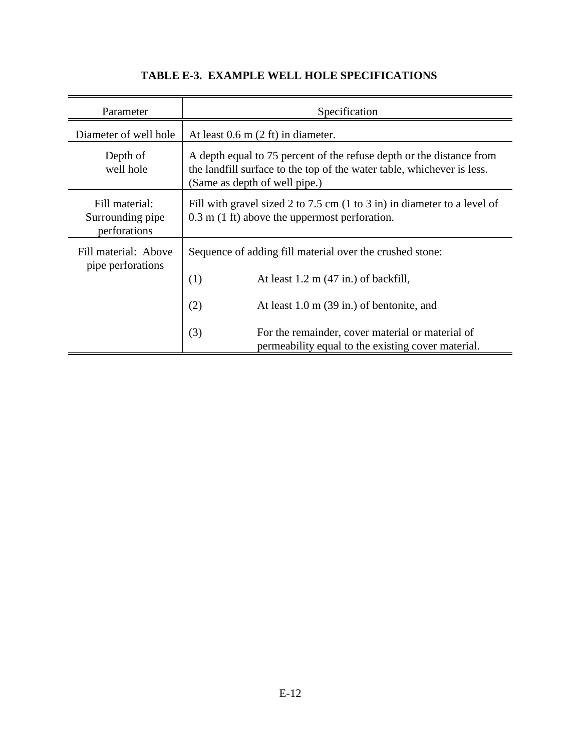| Parameter                                          | Specification                                                                                                                                                                   |  |  |
|----------------------------------------------------|---------------------------------------------------------------------------------------------------------------------------------------------------------------------------------|--|--|
| Diameter of well hole                              | At least $0.6$ m $(2 \text{ ft})$ in diameter.                                                                                                                                  |  |  |
| Depth of<br>well hole                              | A depth equal to 75 percent of the refuse depth or the distance from<br>the landfill surface to the top of the water table, whichever is less.<br>(Same as depth of well pipe.) |  |  |
| Fill material:<br>Surrounding pipe<br>perforations | Fill with gravel sized 2 to 7.5 cm (1 to 3 in) in diameter to a level of<br>$0.3$ m $(1 \text{ ft})$ above the uppermost perforation.                                           |  |  |
| Fill material: Above<br>pipe perforations          | Sequence of adding fill material over the crushed stone:<br>(1)<br>At least $1.2 \text{ m}$ (47 in.) of backfill,<br>(2)<br>At least $1.0 \text{ m}$ (39 in.) of bentonite, and |  |  |
|                                                    | (3)<br>For the remainder, cover material or material of<br>permeability equal to the existing cover material.                                                                   |  |  |

## **TABLE E-3. EXAMPLE WELL HOLE SPECIFICATIONS**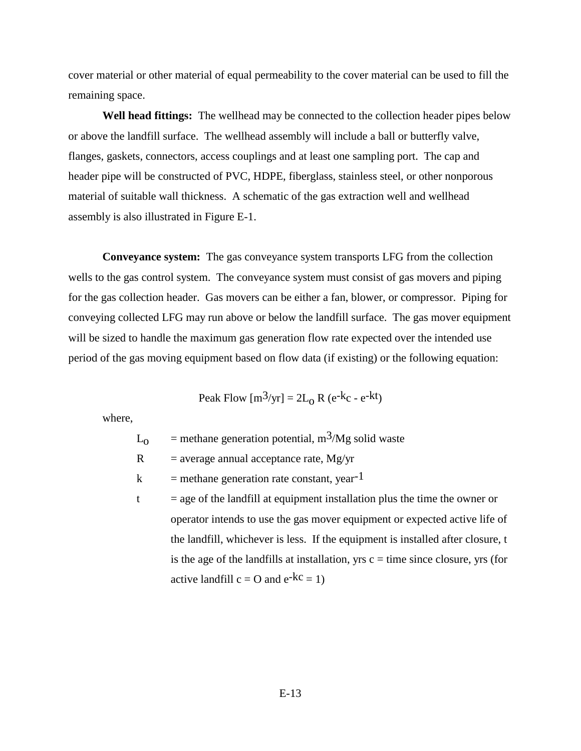cover material or other material of equal permeability to the cover material can be used to fill the remaining space.

**Well head fittings:** The wellhead may be connected to the collection header pipes below or above the landfill surface. The wellhead assembly will include a ball or butterfly valve, flanges, gaskets, connectors, access couplings and at least one sampling port. The cap and header pipe will be constructed of PVC, HDPE, fiberglass, stainless steel, or other nonporous material of suitable wall thickness. A schematic of the gas extraction well and wellhead assembly is also illustrated in Figure E-1.

**Conveyance system:** The gas conveyance system transports LFG from the collection wells to the gas control system. The conveyance system must consist of gas movers and piping for the gas collection header. Gas movers can be either a fan, blower, or compressor. Piping for conveying collected LFG may run above or below the landfill surface. The gas mover equipment will be sized to handle the maximum gas generation flow rate expected over the intended use period of the gas moving equipment based on flow data (if existing) or the following equation:

$$
Peak Flow [m3/yr] = 2L0 R (e-kc - e-kt)
$$

where,

$$
L_0
$$
 = methane generation potential, m<sup>3</sup>/Mg solid waste

 $R =$  average annual acceptance rate, Mg/yr

 $k$  = methane generation rate constant, year<sup>-1</sup>

 $t = age of the landfill at equipment installation plus the time the owner or$ operator intends to use the gas mover equipment or expected active life of the landfill, whichever is less. If the equipment is installed after closure, t is the age of the landfills at installation, yrs  $c =$  time since closure, yrs (for active landfill  $c = O$  and  $e^{-kc} = 1$ )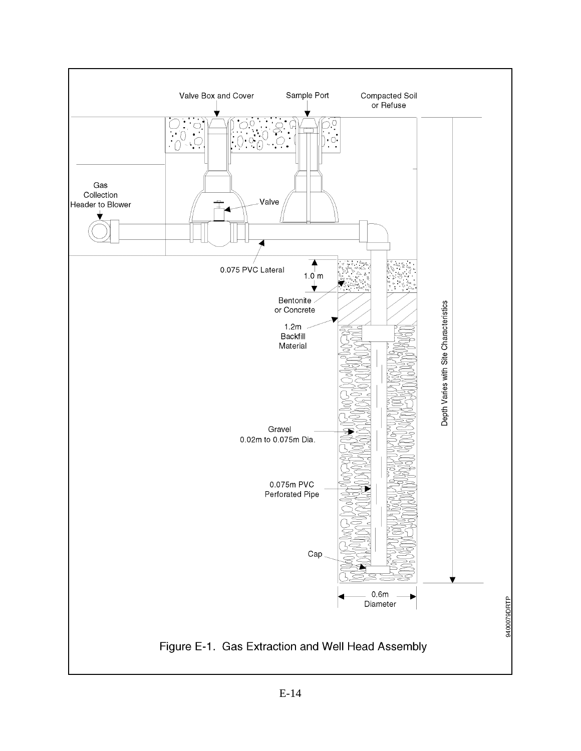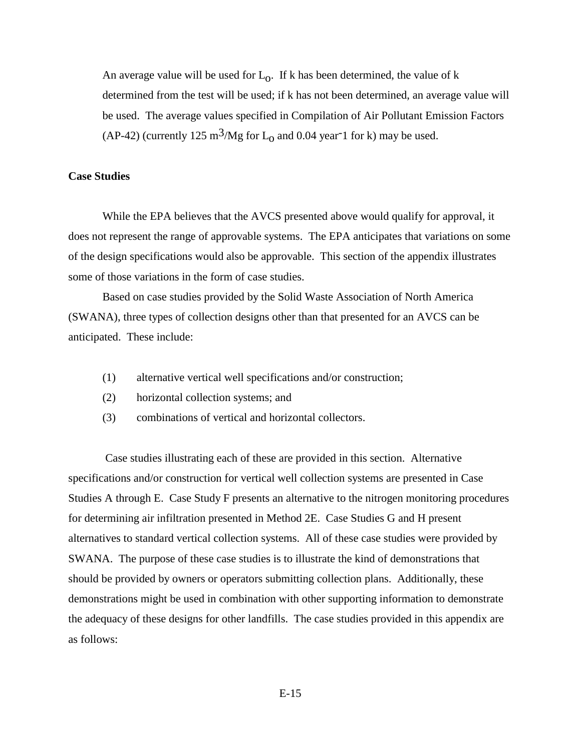An average value will be used for  $L_0$ . If k has been determined, the value of k determined from the test will be used; if k has not been determined, an average value will be used. The average values specified in Compilation of Air Pollutant Emission Factors (AP-42) (currently 125 m<sup>3</sup>/Mg for  $L_0$  and 0.04 year 1 for k) may be used.

#### **Case Studies**

While the EPA believes that the AVCS presented above would qualify for approval, it does not represent the range of approvable systems. The EPA anticipates that variations on some of the design specifications would also be approvable. This section of the appendix illustrates some of those variations in the form of case studies.

Based on case studies provided by the Solid Waste Association of North America (SWANA), three types of collection designs other than that presented for an AVCS can be anticipated. These include:

- (1) alternative vertical well specifications and/or construction;
- (2) horizontal collection systems; and
- (3) combinations of vertical and horizontal collectors.

 Case studies illustrating each of these are provided in this section. Alternative specifications and/or construction for vertical well collection systems are presented in Case Studies A through E. Case Study F presents an alternative to the nitrogen monitoring procedures for determining air infiltration presented in Method 2E. Case Studies G and H present alternatives to standard vertical collection systems. All of these case studies were provided by SWANA. The purpose of these case studies is to illustrate the kind of demonstrations that should be provided by owners or operators submitting collection plans. Additionally, these demonstrations might be used in combination with other supporting information to demonstrate the adequacy of these designs for other landfills. The case studies provided in this appendix are as follows: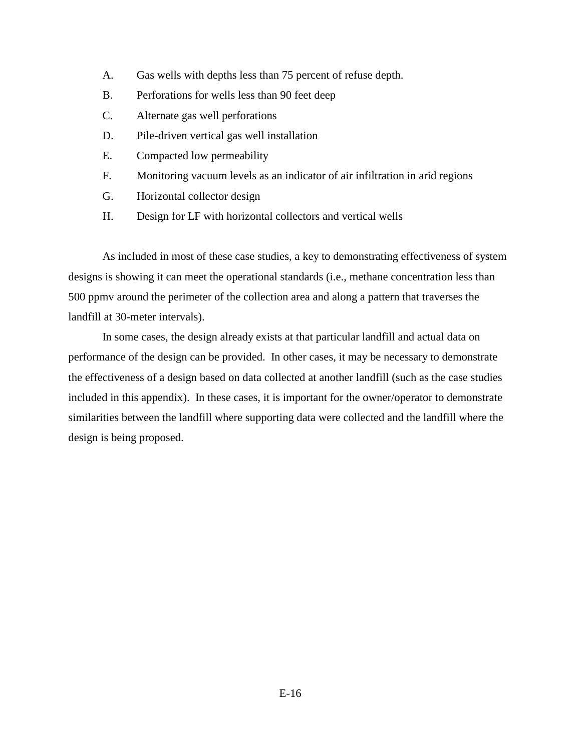- A. Gas wells with depths less than 75 percent of refuse depth.
- B. Perforations for wells less than 90 feet deep
- C. Alternate gas well perforations
- D. Pile-driven vertical gas well installation
- E. Compacted low permeability
- F. Monitoring vacuum levels as an indicator of air infiltration in arid regions
- G. Horizontal collector design
- H. Design for LF with horizontal collectors and vertical wells

As included in most of these case studies, a key to demonstrating effectiveness of system designs is showing it can meet the operational standards (i.e., methane concentration less than 500 ppmv around the perimeter of the collection area and along a pattern that traverses the landfill at 30-meter intervals).

In some cases, the design already exists at that particular landfill and actual data on performance of the design can be provided. In other cases, it may be necessary to demonstrate the effectiveness of a design based on data collected at another landfill (such as the case studies included in this appendix). In these cases, it is important for the owner/operator to demonstrate similarities between the landfill where supporting data were collected and the landfill where the design is being proposed.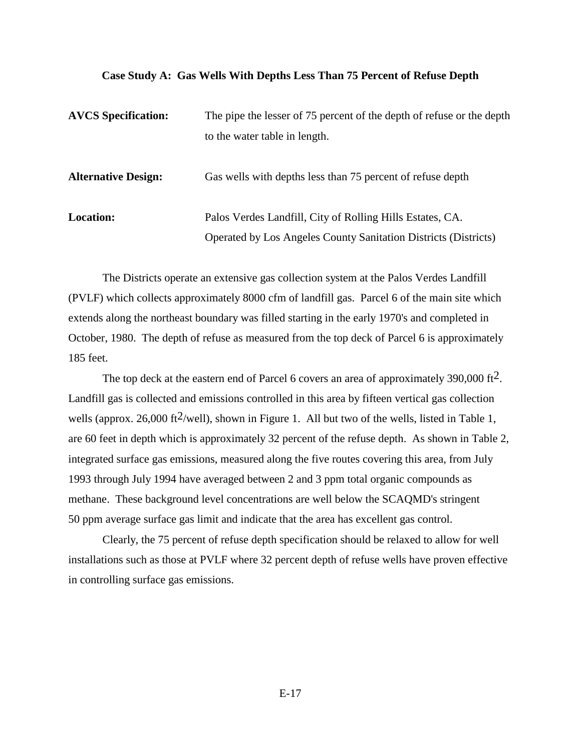#### **Case Study A: Gas Wells With Depths Less Than 75 Percent of Refuse Depth**

| <b>AVCS</b> Specification: | The pipe the lesser of 75 percent of the depth of refuse or the depth  |  |  |
|----------------------------|------------------------------------------------------------------------|--|--|
|                            | to the water table in length.                                          |  |  |
| <b>Alternative Design:</b> | Gas wells with depths less than 75 percent of refuse depth             |  |  |
| <b>Location:</b>           | Palos Verdes Landfill, City of Rolling Hills Estates, CA.              |  |  |
|                            | <b>Operated by Los Angeles County Sanitation Districts (Districts)</b> |  |  |

The Districts operate an extensive gas collection system at the Palos Verdes Landfill (PVLF) which collects approximately 8000 cfm of landfill gas. Parcel 6 of the main site which extends along the northeast boundary was filled starting in the early 1970's and completed in October, 1980. The depth of refuse as measured from the top deck of Parcel 6 is approximately 185 feet.

The top deck at the eastern end of Parcel 6 covers an area of approximately 390,000 ft<sup>2</sup>. Landfill gas is collected and emissions controlled in this area by fifteen vertical gas collection wells (approx. 26,000 ft<sup>2</sup>/well), shown in Figure 1. All but two of the wells, listed in Table 1, are 60 feet in depth which is approximately 32 percent of the refuse depth. As shown in Table 2, integrated surface gas emissions, measured along the five routes covering this area, from July 1993 through July 1994 have averaged between 2 and 3 ppm total organic compounds as methane. These background level concentrations are well below the SCAQMD's stringent 50 ppm average surface gas limit and indicate that the area has excellent gas control.

Clearly, the 75 percent of refuse depth specification should be relaxed to allow for well installations such as those at PVLF where 32 percent depth of refuse wells have proven effective in controlling surface gas emissions.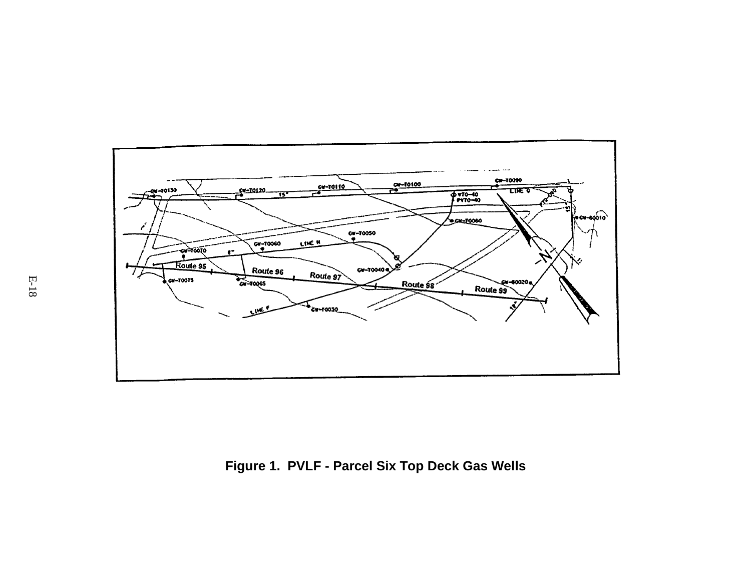

**Figure 1. PVLF - Parcel Six Top Deck Gas Wells**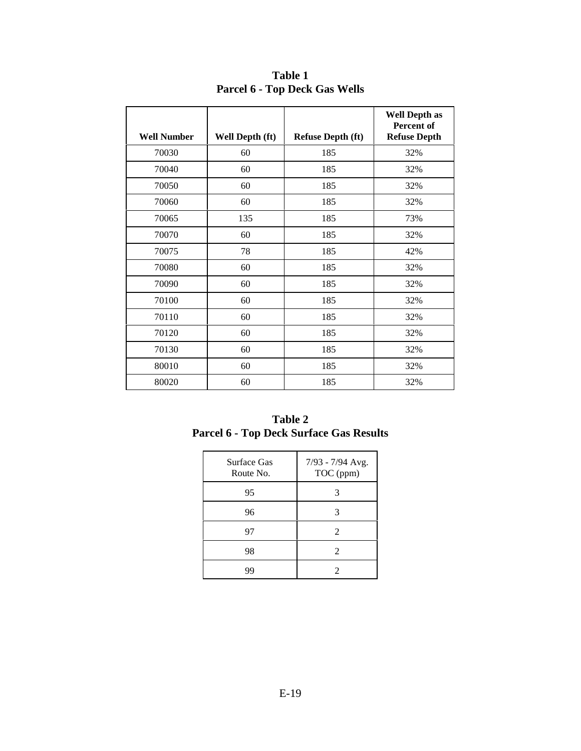| <b>Well Number</b> | Well Depth (ft) | <b>Refuse Depth (ft)</b> | <b>Well Depth as</b><br>Percent of<br><b>Refuse Depth</b> |
|--------------------|-----------------|--------------------------|-----------------------------------------------------------|
|                    |                 |                          |                                                           |
| 70030              | 60              | 185                      | 32%                                                       |
| 70040              | 60              | 185                      | 32%                                                       |
| 70050              | 60              | 185                      | 32%                                                       |
| 70060              | 60              | 185                      | 32%                                                       |
| 70065              | 135             | 185                      | 73%                                                       |
| 70070              | 60              | 185                      | 32%                                                       |
| 70075              | 78              | 185                      | 42%                                                       |
| 70080              | 60              | 185                      | 32%                                                       |
| 70090              | 60              | 185                      | 32%                                                       |
| 70100              | 60              | 185                      | 32%                                                       |
| 70110              | 60              | 185                      | 32%                                                       |
| 70120              | 60              | 185                      | 32%                                                       |
| 70130              | 60              | 185                      | 32%                                                       |
| 80010              | 60              | 185                      | 32%                                                       |
| 80020              | 60              | 185                      | 32%                                                       |

**Table 1 Parcel 6 - Top Deck Gas Wells**

| <b>Table 2</b>                                 |  |
|------------------------------------------------|--|
| <b>Parcel 6 - Top Deck Surface Gas Results</b> |  |

| <b>Surface Gas</b><br>Route No. | 7/93 - 7/94 Avg.<br>TOC (ppm) |
|---------------------------------|-------------------------------|
| 95                              | 3                             |
| 96                              | 3                             |
| 97                              | $\mathfrak{D}$                |
| 98                              | 2                             |
|                                 | 7                             |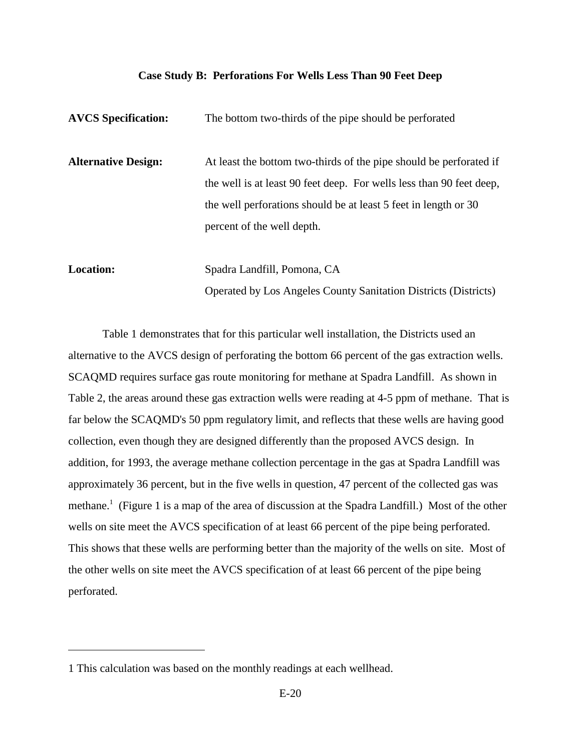#### **Case Study B: Perforations For Wells Less Than 90 Feet Deep**

| <b>AVCS</b> Specification: | The bottom two-thirds of the pipe should be perforated                                                                                     |
|----------------------------|--------------------------------------------------------------------------------------------------------------------------------------------|
| <b>Alternative Design:</b> | At least the bottom two-thirds of the pipe should be perforated if<br>the well is at least 90 feet deep. For wells less than 90 feet deep, |
|                            | the well perforations should be at least 5 feet in length or 30<br>percent of the well depth.                                              |
|                            |                                                                                                                                            |
| <b>Location:</b>           | Spadra Landfill, Pomona, CA                                                                                                                |

Operated by Los Angeles County Sanitation Districts (Districts)

Table 1 demonstrates that for this particular well installation, the Districts used an alternative to the AVCS design of perforating the bottom 66 percent of the gas extraction wells. SCAQMD requires surface gas route monitoring for methane at Spadra Landfill. As shown in Table 2, the areas around these gas extraction wells were reading at 4-5 ppm of methane. That is far below the SCAQMD's 50 ppm regulatory limit, and reflects that these wells are having good collection, even though they are designed differently than the proposed AVCS design. In addition, for 1993, the average methane collection percentage in the gas at Spadra Landfill was approximately 36 percent, but in the five wells in question, 47 percent of the collected gas was methane.<sup>1</sup> (Figure 1 is a map of the area of discussion at the Spadra Landfill.) Most of the other wells on site meet the AVCS specification of at least 66 percent of the pipe being perforated. This shows that these wells are performing better than the majority of the wells on site. Most of the other wells on site meet the AVCS specification of at least 66 percent of the pipe being perforated.

<sup>1</sup> This calculation was based on the monthly readings at each wellhead.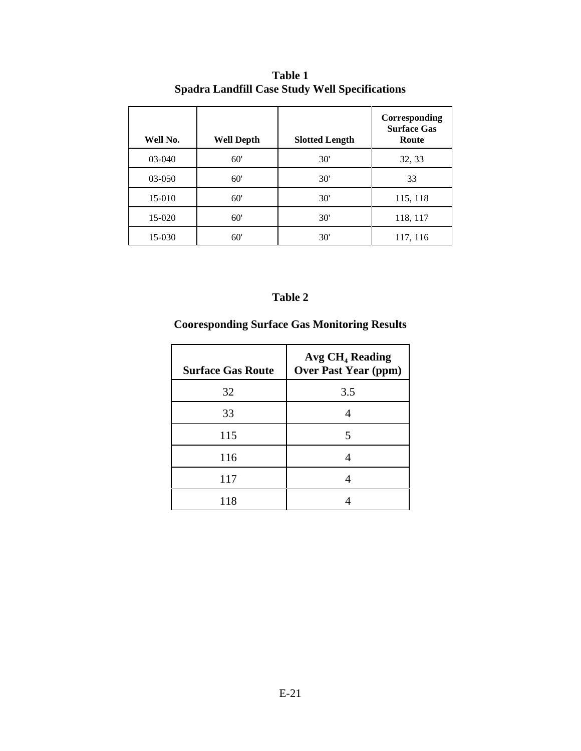| Well No. | <b>Well Depth</b> | <b>Slotted Length</b> | Corresponding<br><b>Surface Gas</b><br>Route |
|----------|-------------------|-----------------------|----------------------------------------------|
| 03-040   | 60'               | 30'                   | 32, 33                                       |
| 03-050   | 60'               | 30'                   | 33                                           |
| 15-010   | 60'               | 30'                   | 115, 118                                     |
| 15-020   | 60'               | 30'                   | 118, 117                                     |
| 15-030   | 60'               | 30'                   | 117, 116                                     |

**Table 1 Spadra Landfill Case Study Well Specifications**

### **Table 2**

## **Cooresponding Surface Gas Monitoring Results**

| <b>Surface Gas Route</b> | Avg CH <sub>4</sub> Reading<br><b>Over Past Year (ppm)</b> |
|--------------------------|------------------------------------------------------------|
| 32                       | 3.5                                                        |
| 33                       |                                                            |
| 115                      | 5                                                          |
| 116                      |                                                            |
| 117                      |                                                            |
| 118                      |                                                            |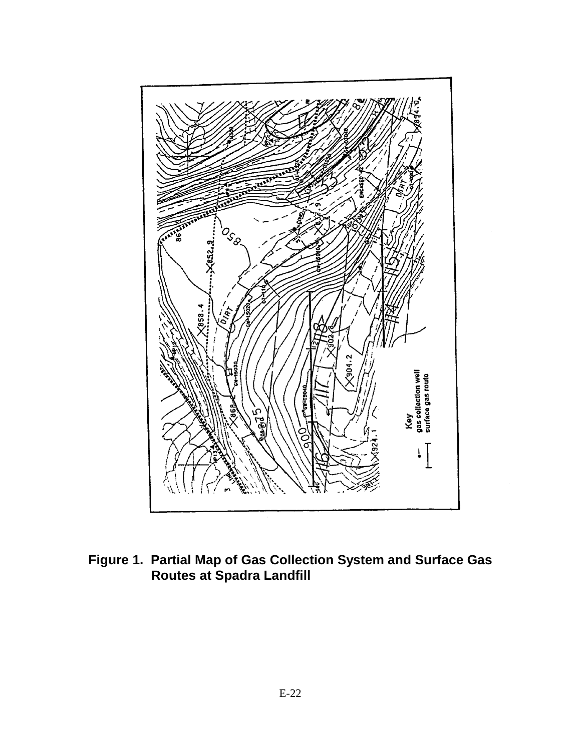

**Figure 1. Partial Map of Gas Collection System and Surface Gas Routes at Spadra Landfill**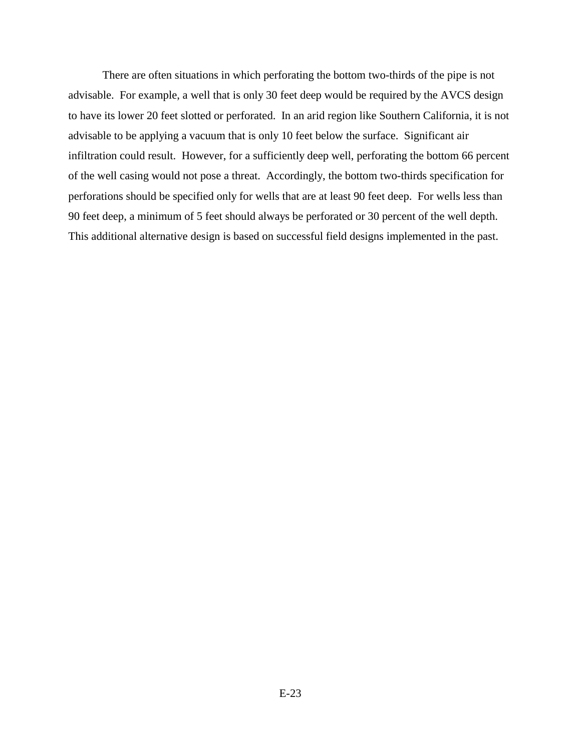There are often situations in which perforating the bottom two-thirds of the pipe is not advisable. For example, a well that is only 30 feet deep would be required by the AVCS design to have its lower 20 feet slotted or perforated. In an arid region like Southern California, it is not advisable to be applying a vacuum that is only 10 feet below the surface. Significant air infiltration could result. However, for a sufficiently deep well, perforating the bottom 66 percent of the well casing would not pose a threat. Accordingly, the bottom two-thirds specification for perforations should be specified only for wells that are at least 90 feet deep. For wells less than 90 feet deep, a minimum of 5 feet should always be perforated or 30 percent of the well depth. This additional alternative design is based on successful field designs implemented in the past.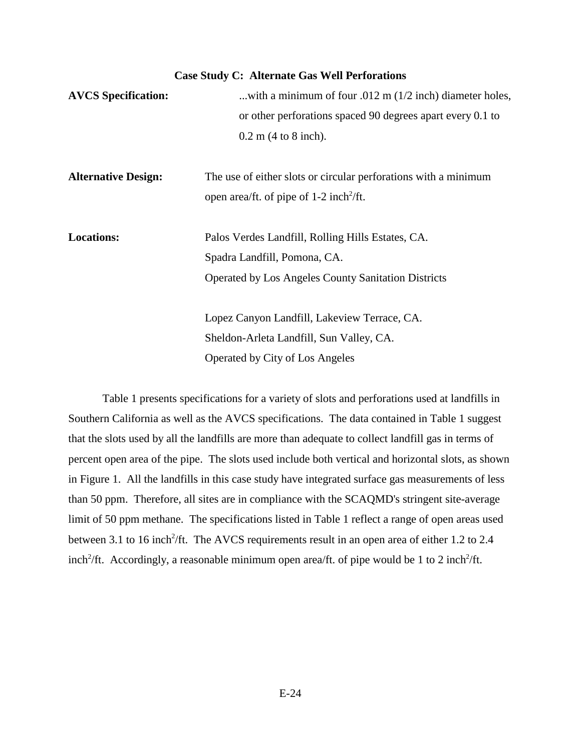#### **Case Study C: Alternate Gas Well Perforations**

| <b>AVCS</b> Specification: | with a minimum of four .012 m $(1/2$ inch) diameter holes,      |  |  |  |  |  |
|----------------------------|-----------------------------------------------------------------|--|--|--|--|--|
|                            | or other perforations spaced 90 degrees apart every 0.1 to      |  |  |  |  |  |
|                            | $0.2 \text{ m}$ (4 to 8 inch).                                  |  |  |  |  |  |
| <b>Alternative Design:</b> | The use of either slots or circular perforations with a minimum |  |  |  |  |  |
|                            | open area/ft. of pipe of $1-2$ inch <sup>2</sup> /ft.           |  |  |  |  |  |
| <b>Locations:</b>          | Palos Verdes Landfill, Rolling Hills Estates, CA.               |  |  |  |  |  |
|                            | Spadra Landfill, Pomona, CA.                                    |  |  |  |  |  |
|                            | <b>Operated by Los Angeles County Sanitation Districts</b>      |  |  |  |  |  |
|                            | Lopez Canyon Landfill, Lakeview Terrace, CA.                    |  |  |  |  |  |
|                            | Sheldon-Arleta Landfill, Sun Valley, CA.                        |  |  |  |  |  |
|                            | Operated by City of Los Angeles                                 |  |  |  |  |  |
|                            |                                                                 |  |  |  |  |  |

Table 1 presents specifications for a variety of slots and perforations used at landfills in Southern California as well as the AVCS specifications. The data contained in Table 1 suggest that the slots used by all the landfills are more than adequate to collect landfill gas in terms of percent open area of the pipe. The slots used include both vertical and horizontal slots, as shown in Figure 1. All the landfills in this case study have integrated surface gas measurements of less than 50 ppm. Therefore, all sites are in compliance with the SCAQMD's stringent site-average limit of 50 ppm methane. The specifications listed in Table 1 reflect a range of open areas used between 3.1 to 16 inch<sup>2</sup>/ft. The AVCS requirements result in an open area of either 1.2 to 2.4 inch<sup>2</sup>/ft. Accordingly, a reasonable minimum open area/ft. of pipe would be 1 to 2 inch<sup>2</sup>/ft.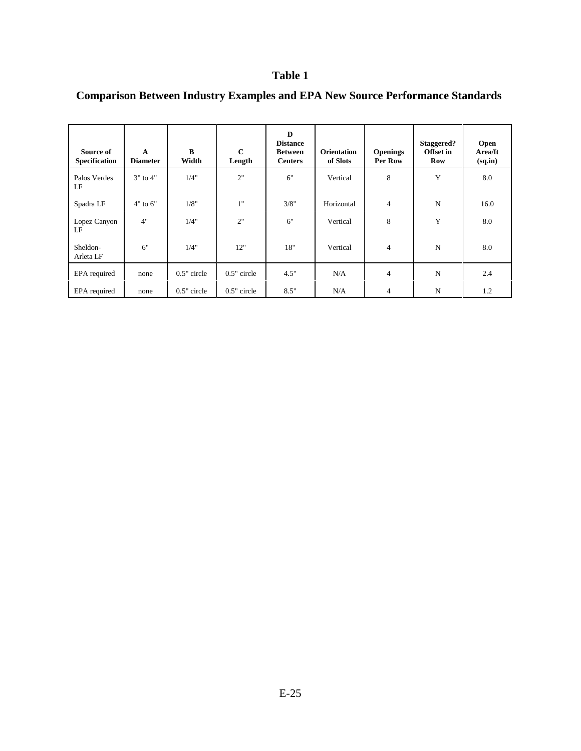### **Table 1**

| Source of<br><b>Specification</b> | A<br><b>Diameter</b> | $\bf{B}$<br>Width | $\mathbf C$<br>Length | D<br><b>Distance</b><br><b>Between</b><br><b>Centers</b> | <b>Orientation</b><br>of Slots | <b>Openings</b><br>Per Row | Staggered?<br><b>Offset</b> in<br>Row | <b>Open</b><br>Area/ft<br>(sq.in) |
|-----------------------------------|----------------------|-------------------|-----------------------|----------------------------------------------------------|--------------------------------|----------------------------|---------------------------------------|-----------------------------------|
| Palos Verdes<br>LF                | $3"$ to $4"$         | 1/4"              | 2"                    | 6"                                                       | Vertical                       | 8                          | Y                                     | 8.0                               |
| Spadra LF                         | $4"$ to $6"$         | 1/8"              | 1"                    | 3/8"                                                     | Horizontal                     | $\overline{4}$             | $\mathbf N$                           | 16.0                              |
| Lopez Canyon<br>LF                | 4"                   | 1/4"              | 2"                    | 6"                                                       | Vertical                       | 8                          | Y                                     | 8.0                               |
| Sheldon-<br>Arleta LF             | 6"                   | 1/4"              | 12"                   | 18"                                                      | Vertical                       | $\overline{\mathcal{L}}$   | N                                     | 8.0                               |
| EPA required                      | none                 | 0.5" circle       | $0.5"$ circle         | 4.5"                                                     | N/A                            | $\overline{4}$             | ${\bf N}$                             | 2.4                               |
| EPA required                      | none                 | $0.5"$ circle     | $0.5"$ circle         | 8.5"                                                     | N/A                            | 4                          | N                                     | 1.2                               |

# **Comparison Between Industry Examples and EPA New Source Performance Standards**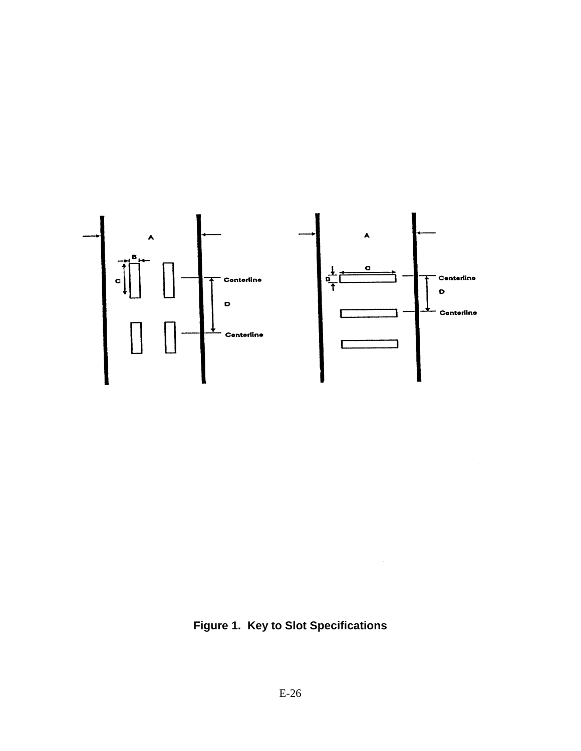

**Figure 1. Key to Slot Specifications**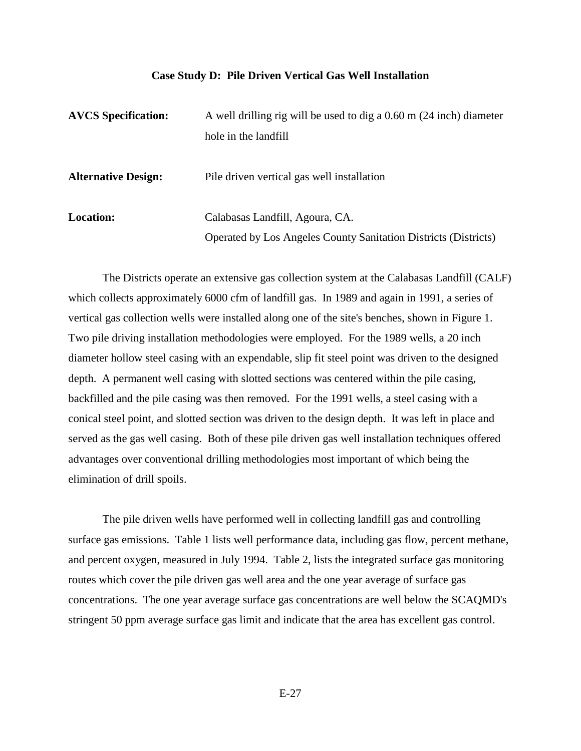#### **Case Study D: Pile Driven Vertical Gas Well Installation**

| <b>AVCS</b> Specification: | A well drilling rig will be used to dig a $0.60$ m $(24$ inch) diameter |
|----------------------------|-------------------------------------------------------------------------|
|                            | hole in the landfill                                                    |
| <b>Alternative Design:</b> | Pile driven vertical gas well installation                              |
| <b>Location:</b>           | Calabasas Landfill, Agoura, CA.                                         |
|                            | <b>Operated by Los Angeles County Sanitation Districts (Districts)</b>  |

The Districts operate an extensive gas collection system at the Calabasas Landfill (CALF) which collects approximately 6000 cfm of landfill gas. In 1989 and again in 1991, a series of vertical gas collection wells were installed along one of the site's benches, shown in Figure 1. Two pile driving installation methodologies were employed. For the 1989 wells, a 20 inch diameter hollow steel casing with an expendable, slip fit steel point was driven to the designed depth. A permanent well casing with slotted sections was centered within the pile casing, backfilled and the pile casing was then removed. For the 1991 wells, a steel casing with a conical steel point, and slotted section was driven to the design depth. It was left in place and served as the gas well casing. Both of these pile driven gas well installation techniques offered advantages over conventional drilling methodologies most important of which being the elimination of drill spoils.

The pile driven wells have performed well in collecting landfill gas and controlling surface gas emissions. Table 1 lists well performance data, including gas flow, percent methane, and percent oxygen, measured in July 1994. Table 2, lists the integrated surface gas monitoring routes which cover the pile driven gas well area and the one year average of surface gas concentrations. The one year average surface gas concentrations are well below the SCAQMD's stringent 50 ppm average surface gas limit and indicate that the area has excellent gas control.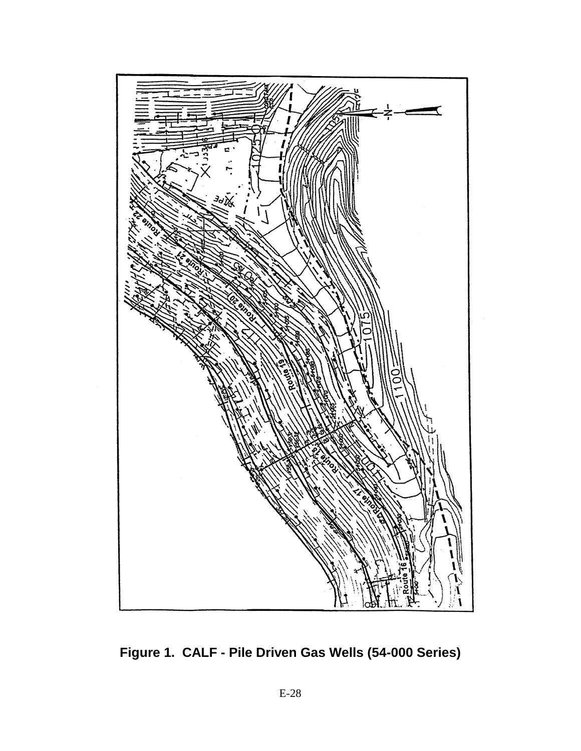

**Figure 1. CALF - Pile Driven Gas Wells (54-000 Series)**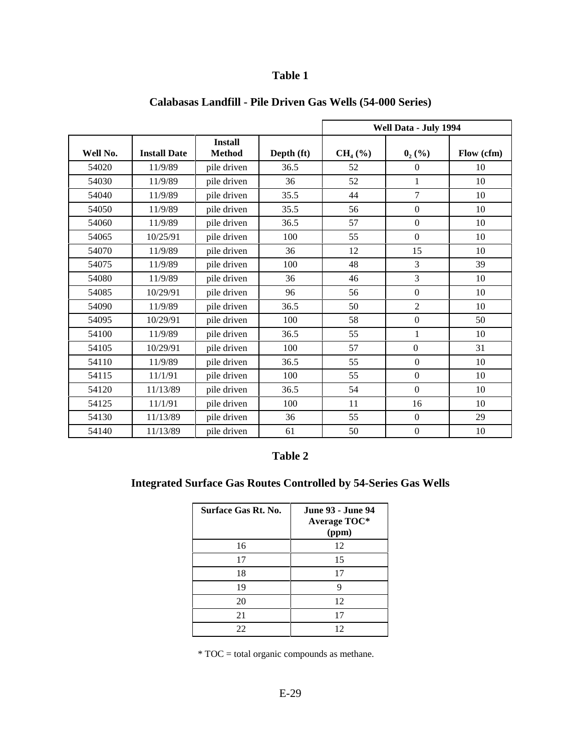## **Table 1**

|          |                     |                                 |            | Well Data - July 1994 |                  |            |
|----------|---------------------|---------------------------------|------------|-----------------------|------------------|------------|
| Well No. | <b>Install Date</b> | <b>Install</b><br><b>Method</b> | Depth (ft) | $CH4(\%)$             | $0_{2}$ (%)      | Flow (cfm) |
| 54020    | 11/9/89             | pile driven                     | 36.5       | 52                    | $\overline{0}$   | 10         |
| 54030    | 11/9/89             | pile driven                     | 36         | 52                    | $\mathbf{1}$     | 10         |
| 54040    | 11/9/89             | pile driven                     | 35.5       | 44                    | $\overline{7}$   | 10         |
| 54050    | 11/9/89             | pile driven                     | 35.5       | 56                    | $\boldsymbol{0}$ | 10         |
| 54060    | 11/9/89             | pile driven                     | 36.5       | 57                    | $\boldsymbol{0}$ | 10         |
| 54065    | 10/25/91            | pile driven                     | 100        | 55                    | $\boldsymbol{0}$ | 10         |
| 54070    | 11/9/89             | pile driven                     | 36         | 12                    | 15               | 10         |
| 54075    | 11/9/89             | pile driven                     | 100        | 48                    | $\overline{3}$   | 39         |
| 54080    | 11/9/89             | pile driven                     | 36         | 46                    | 3                | 10         |
| 54085    | 10/29/91            | pile driven                     | 96         | 56                    | $\overline{0}$   | 10         |
| 54090    | 11/9/89             | pile driven                     | 36.5       | 50                    | $\overline{2}$   | 10         |
| 54095    | 10/29/91            | pile driven                     | 100        | 58                    | $\boldsymbol{0}$ | 50         |
| 54100    | 11/9/89             | pile driven                     | 36.5       | 55                    | 1                | 10         |
| 54105    | 10/29/91            | pile driven                     | 100        | 57                    | $\boldsymbol{0}$ | 31         |
| 54110    | 11/9/89             | pile driven                     | 36.5       | 55                    | $\boldsymbol{0}$ | 10         |
| 54115    | 11/1/91             | pile driven                     | 100        | 55                    | $\mathbf{0}$     | 10         |
| 54120    | 11/13/89            | pile driven                     | 36.5       | 54                    | $\boldsymbol{0}$ | 10         |
| 54125    | 11/1/91             | pile driven                     | 100        | 11                    | 16               | 10         |
| 54130    | 11/13/89            | pile driven                     | 36         | 55                    | $\overline{0}$   | 29         |
| 54140    | 11/13/89            | pile driven                     | 61         | 50                    | $\boldsymbol{0}$ | 10         |

## **Calabasas Landfill - Pile Driven Gas Wells (54-000 Series)**

### **Table 2**

## **Integrated Surface Gas Routes Controlled by 54-Series Gas Wells**

| <b>Surface Gas Rt. No.</b> | <b>June 93 - June 94</b><br>Average TOC*<br>(ppm) |
|----------------------------|---------------------------------------------------|
| 16                         | 12                                                |
| 17                         | 15                                                |
| 18                         | 17                                                |
| 19                         | 9                                                 |
| 20                         | 12                                                |
| 21                         | 17                                                |
| 22                         | 12                                                |

\* TOC = total organic compounds as methane.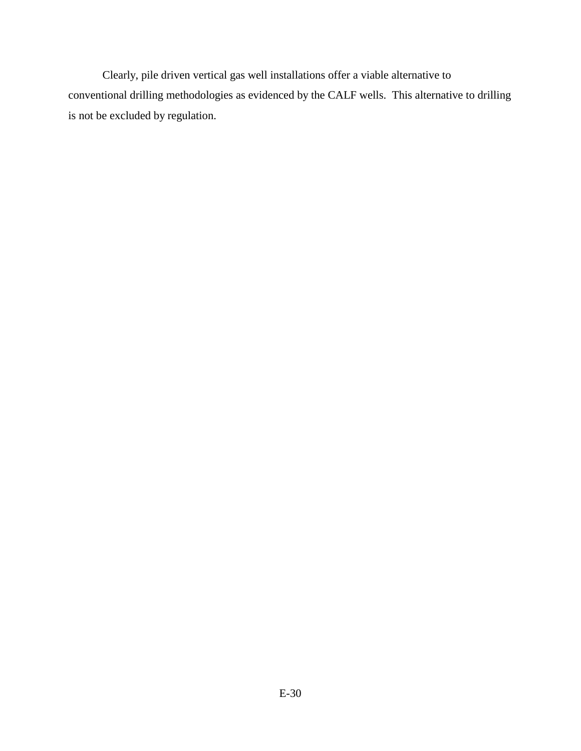Clearly, pile driven vertical gas well installations offer a viable alternative to conventional drilling methodologies as evidenced by the CALF wells. This alternative to drilling is not be excluded by regulation.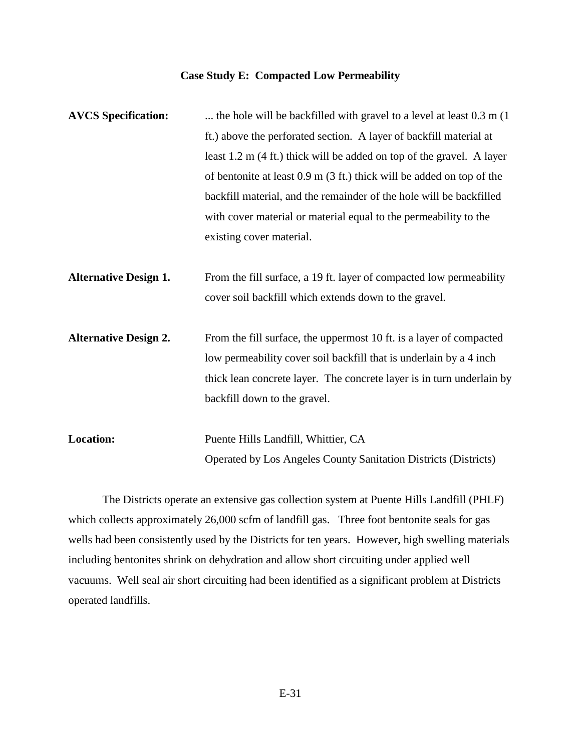### **Case Study E: Compacted Low Permeability**

| <b>AVCS</b> Specification:   | the hole will be backfilled with gravel to a level at least 0.3 m (1).          |
|------------------------------|---------------------------------------------------------------------------------|
|                              | ft.) above the perforated section. A layer of backfill material at              |
|                              | least $1.2$ m (4 ft.) thick will be added on top of the gravel. A layer         |
|                              | of bentonite at least $0.9 \text{ m}$ (3 ft.) thick will be added on top of the |
|                              | backfill material, and the remainder of the hole will be backfilled             |
|                              | with cover material or material equal to the permeability to the                |
|                              | existing cover material.                                                        |
|                              |                                                                                 |
| <b>Alternative Design 1.</b> | From the fill surface, a 19 ft. layer of compacted low permeability             |
|                              | cover soil backfill which extends down to the gravel.                           |
| <b>Alternative Design 2.</b> | From the fill surface, the uppermost 10 ft. is a layer of compacted             |
|                              | low permeability cover soil backfill that is underlain by a 4 inch              |
|                              | thick lean concrete layer. The concrete layer is in turn underlain by           |
|                              | backfill down to the gravel.                                                    |
|                              |                                                                                 |
| Location:                    | Puente Hills Landfill, Whittier, CA                                             |
|                              | <b>Operated by Los Angeles County Sanitation Districts (Districts)</b>          |

The Districts operate an extensive gas collection system at Puente Hills Landfill (PHLF) which collects approximately 26,000 scfm of landfill gas. Three foot bentonite seals for gas wells had been consistently used by the Districts for ten years. However, high swelling materials including bentonites shrink on dehydration and allow short circuiting under applied well vacuums. Well seal air short circuiting had been identified as a significant problem at Districts operated landfills.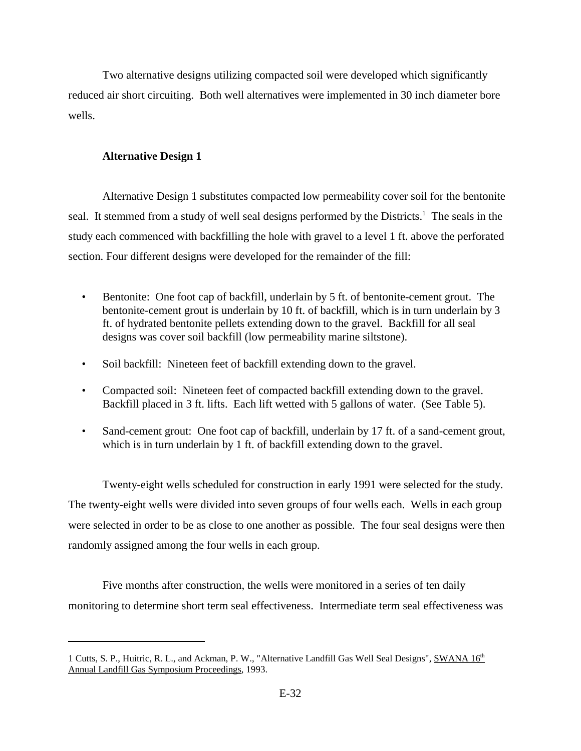Two alternative designs utilizing compacted soil were developed which significantly reduced air short circuiting. Both well alternatives were implemented in 30 inch diameter bore wells.

### **Alternative Design 1**

Alternative Design 1 substitutes compacted low permeability cover soil for the bentonite seal. It stemmed from a study of well seal designs performed by the Districts.<sup>1</sup> The seals in the study each commenced with backfilling the hole with gravel to a level 1 ft. above the perforated section. Four different designs were developed for the remainder of the fill:

- Bentonite: One foot cap of backfill, underlain by 5 ft. of bentonite-cement grout. The bentonite-cement grout is underlain by 10 ft. of backfill, which is in turn underlain by 3 ft. of hydrated bentonite pellets extending down to the gravel. Backfill for all seal designs was cover soil backfill (low permeability marine siltstone).
- Soil backfill: Nineteen feet of backfill extending down to the gravel.
- Compacted soil: Nineteen feet of compacted backfill extending down to the gravel. Backfill placed in 3 ft. lifts. Each lift wetted with 5 gallons of water. (See Table 5).
- Sand-cement grout: One foot cap of backfill, underlain by 17 ft. of a sand-cement grout, which is in turn underlain by 1 ft. of backfill extending down to the gravel.

Twenty-eight wells scheduled for construction in early 1991 were selected for the study. The twenty-eight wells were divided into seven groups of four wells each. Wells in each group were selected in order to be as close to one another as possible. The four seal designs were then randomly assigned among the four wells in each group.

Five months after construction, the wells were monitored in a series of ten daily monitoring to determine short term seal effectiveness. Intermediate term seal effectiveness was

<sup>1</sup> Cutts, S. P., Huitric, R. L., and Ackman, P. W., "Alternative Landfill Gas Well Seal Designs", SWANA 16<sup>th</sup> Annual Landfill Gas Symposium Proceedings, 1993.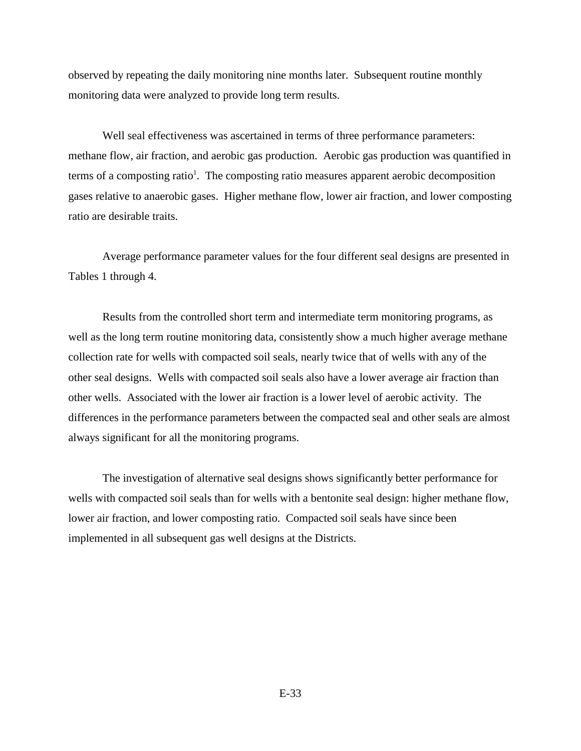observed by repeating the daily monitoring nine months later. Subsequent routine monthly monitoring data were analyzed to provide long term results.

Well seal effectiveness was ascertained in terms of three performance parameters: methane flow, air fraction, and aerobic gas production. Aerobic gas production was quantified in terms of a composting ratio<sup>1</sup>. The composting ratio measures apparent aerobic decomposition gases relative to anaerobic gases. Higher methane flow, lower air fraction, and lower composting ratio are desirable traits.

Average performance parameter values for the four different seal designs are presented in Tables 1 through 4.

Results from the controlled short term and intermediate term monitoring programs, as well as the long term routine monitoring data, consistently show a much higher average methane collection rate for wells with compacted soil seals, nearly twice that of wells with any of the other seal designs. Wells with compacted soil seals also have a lower average air fraction than other wells. Associated with the lower air fraction is a lower level of aerobic activity. The differences in the performance parameters between the compacted seal and other seals are almost always significant for all the monitoring programs.

The investigation of alternative seal designs shows significantly better performance for wells with compacted soil seals than for wells with a bentonite seal design: higher methane flow, lower air fraction, and lower composting ratio. Compacted soil seals have since been implemented in all subsequent gas well designs at the Districts.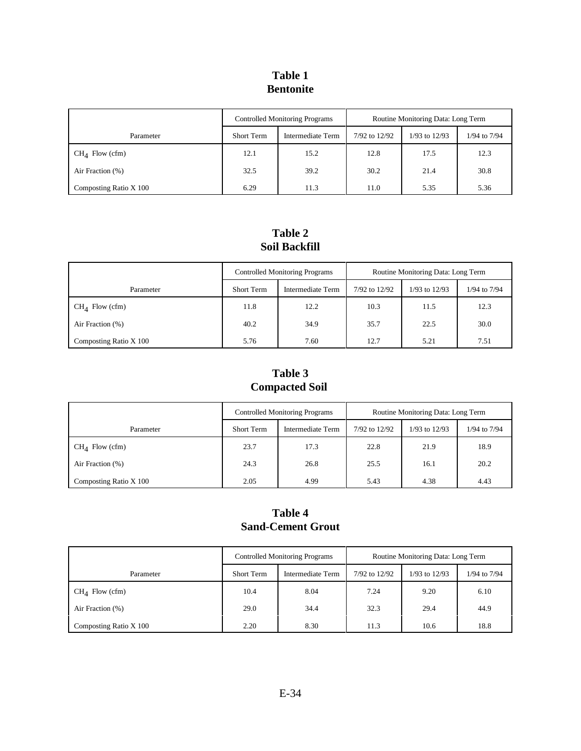### **Table 1 Bentonite**

|                        | <b>Controlled Monitoring Programs</b> |                   | Routine Monitoring Data: Long Term |               |              |
|------------------------|---------------------------------------|-------------------|------------------------------------|---------------|--------------|
| Parameter              | <b>Short Term</b>                     | Intermediate Term | 7/92 to 12/92                      | 1/93 to 12/93 | 1/94 to 7/94 |
| $CH4$ Flow (cfm)       | 12.1                                  | 15.2              | 12.8                               | 17.5          | 12.3         |
| Air Fraction (%)       | 32.5                                  | 39.2              | 30.2                               | 21.4          | 30.8         |
| Composting Ratio X 100 | 6.29                                  | 11.3              | 11.0                               | 5.35          | 5.36         |

### **Table 2 Soil Backfill**

|                        | <b>Controlled Monitoring Programs</b>  |      | Routine Monitoring Data: Long Term |               |              |
|------------------------|----------------------------------------|------|------------------------------------|---------------|--------------|
| Parameter              | <b>Short Term</b><br>Intermediate Term |      | 7/92 to 12/92                      | 1/93 to 12/93 | 1/94 to 7/94 |
| $CHA$ Flow (cfm)       | 11.8                                   | 12.2 | 10.3                               | 11.5          | 12.3         |
| Air Fraction (%)       | 40.2                                   | 34.9 | 35.7                               | 22.5          | 30.0         |
| Composting Ratio X 100 | 5.76                                   | 7.60 | 12.7                               | 5.21          | 7.51         |

## **Table 3 Compacted Soil**

|                        | <b>Controlled Monitoring Programs</b> |                   | Routine Monitoring Data: Long Term |                   |              |
|------------------------|---------------------------------------|-------------------|------------------------------------|-------------------|--------------|
| Parameter              | Short Term                            | Intermediate Term | 7/92 to 12/92                      | $1/93$ to $12/93$ | 1/94 to 7/94 |
| $CHA$ Flow (cfm)       | 23.7                                  | 17.3              | 22.8                               | 21.9              | 18.9         |
| Air Fraction (%)       | 24.3                                  | 26.8              | 25.5                               | 16.1              | 20.2         |
| Composting Ratio X 100 | 2.05                                  | 4.99              | 5.43                               | 4.38              | 4.43         |

### **Table 4 Sand-Cement Grout**

|                        | <b>Controlled Monitoring Programs</b>  |      | Routine Monitoring Data: Long Term |                   |              |
|------------------------|----------------------------------------|------|------------------------------------|-------------------|--------------|
| Parameter              | <b>Short Term</b><br>Intermediate Term |      | 7/92 to 12/92                      | $1/93$ to $12/93$ | 1/94 to 7/94 |
| $CHA$ Flow (cfm)       | 10.4                                   | 8.04 | 7.24                               | 9.20              | 6.10         |
| Air Fraction (%)       | 29.0                                   | 34.4 | 32.3                               | 29.4              | 44.9         |
| Composting Ratio X 100 | 2.20                                   | 8.30 | 11.3                               | 10.6              | 18.8         |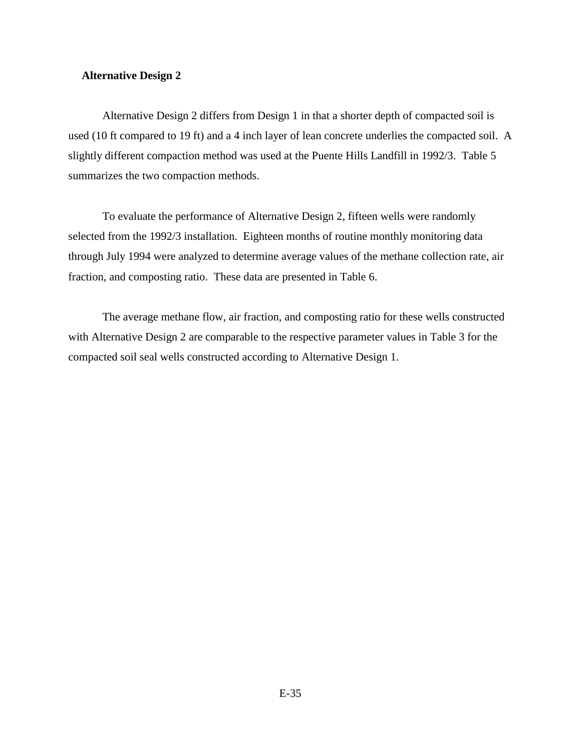#### **Alternative Design 2**

Alternative Design 2 differs from Design 1 in that a shorter depth of compacted soil is used (10 ft compared to 19 ft) and a 4 inch layer of lean concrete underlies the compacted soil. A slightly different compaction method was used at the Puente Hills Landfill in 1992/3. Table 5 summarizes the two compaction methods.

To evaluate the performance of Alternative Design 2, fifteen wells were randomly selected from the 1992/3 installation. Eighteen months of routine monthly monitoring data through July 1994 were analyzed to determine average values of the methane collection rate, air fraction, and composting ratio. These data are presented in Table 6.

The average methane flow, air fraction, and composting ratio for these wells constructed with Alternative Design 2 are comparable to the respective parameter values in Table 3 for the compacted soil seal wells constructed according to Alternative Design 1.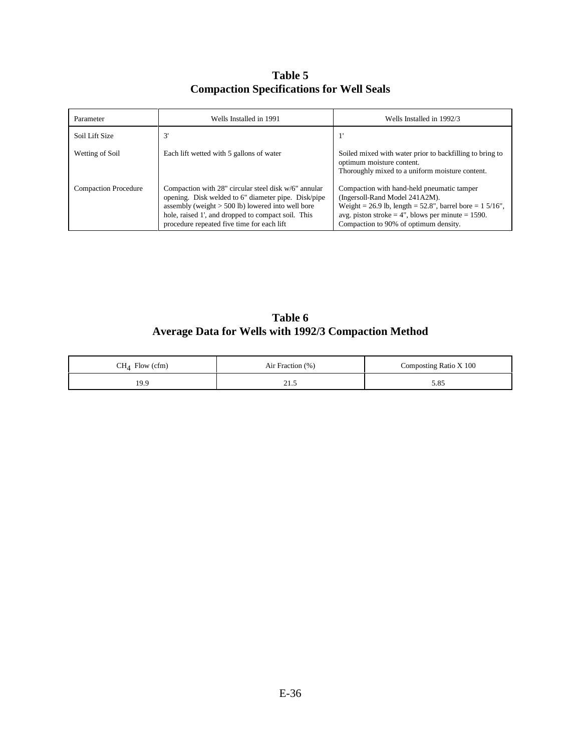**Table 5 Compaction Specifications for Well Seals**

| Parameter                   | Wells Installed in 1991                                                                                                                                                                                                                                                | Wells Installed in 1992/3                                                                                                                                                                                                                                 |
|-----------------------------|------------------------------------------------------------------------------------------------------------------------------------------------------------------------------------------------------------------------------------------------------------------------|-----------------------------------------------------------------------------------------------------------------------------------------------------------------------------------------------------------------------------------------------------------|
| Soil Lift Size              | 3'                                                                                                                                                                                                                                                                     |                                                                                                                                                                                                                                                           |
| Wetting of Soil             | Each lift wetted with 5 gallons of water                                                                                                                                                                                                                               | Soiled mixed with water prior to backfilling to bring to<br>optimum moisture content.<br>Thoroughly mixed to a uniform moisture content.                                                                                                                  |
| <b>Compaction Procedure</b> | Compaction with 28" circular steel disk w/6" annular<br>opening. Disk welded to 6" diameter pipe. Disk/pipe<br>assembly (weight $>$ 500 lb) lowered into well bore<br>hole, raised 1', and dropped to compact soil. This<br>procedure repeated five time for each lift | Compaction with hand-held pneumatic tamper<br>(Ingersoll-Rand Model 241A2M).<br>Weight = 26.9 lb, length = $52.8$ ", barrel bore = $1\frac{5}{16}$ ",<br>avg. piston stroke $= 4$ ", blows per minute $= 1590$ .<br>Compaction to 90% of optimum density. |

**Table 6 Average Data for Wells with 1992/3 Compaction Method**

| Flow (cfm)<br>$CH_4$ | Air Fraction (%) | Composting Ratio X 100 |
|----------------------|------------------|------------------------|
| 19.9                 | <u>_</u>         | 5.85                   |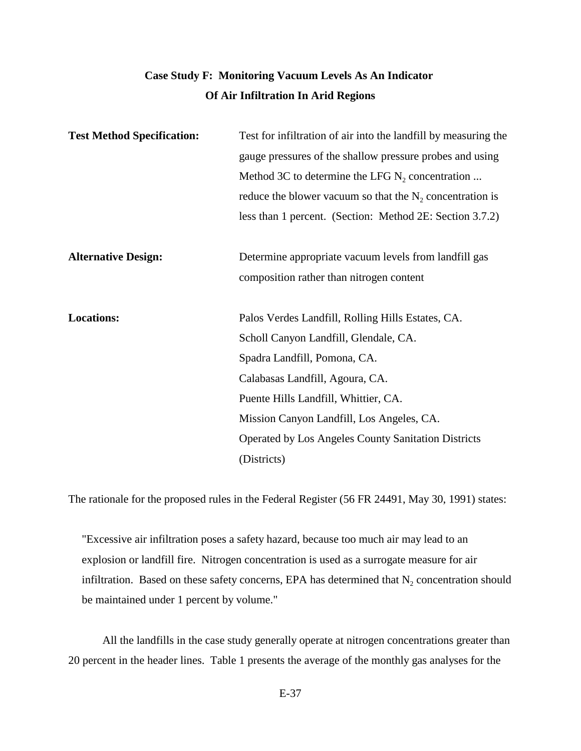# **Case Study F: Monitoring Vacuum Levels As An Indicator Of Air Infiltration In Arid Regions**

| <b>Test Method Specification:</b> | Test for infiltration of air into the landfill by measuring the |
|-----------------------------------|-----------------------------------------------------------------|
|                                   | gauge pressures of the shallow pressure probes and using        |
|                                   | Method 3C to determine the LFG $N_2$ concentration              |
|                                   | reduce the blower vacuum so that the $N_2$ concentration is     |
|                                   | less than 1 percent. (Section: Method 2E: Section 3.7.2)        |
| <b>Alternative Design:</b>        | Determine appropriate vacuum levels from landfill gas           |
|                                   | composition rather than nitrogen content                        |
|                                   |                                                                 |
| <b>Locations:</b>                 | Palos Verdes Landfill, Rolling Hills Estates, CA.               |
|                                   | Scholl Canyon Landfill, Glendale, CA.                           |
|                                   | Spadra Landfill, Pomona, CA.                                    |
|                                   | Calabasas Landfill, Agoura, CA.                                 |
|                                   | Puente Hills Landfill, Whittier, CA.                            |
|                                   | Mission Canyon Landfill, Los Angeles, CA.                       |
|                                   | <b>Operated by Los Angeles County Sanitation Districts</b>      |
|                                   | (Districts)                                                     |

The rationale for the proposed rules in the Federal Register (56 FR 24491, May 30, 1991) states:

"Excessive air infiltration poses a safety hazard, because too much air may lead to an explosion or landfill fire. Nitrogen concentration is used as a surrogate measure for air infiltration. Based on these safety concerns, EPA has determined that  $N_2$  concentration should be maintained under 1 percent by volume."

All the landfills in the case study generally operate at nitrogen concentrations greater than 20 percent in the header lines. Table 1 presents the average of the monthly gas analyses for the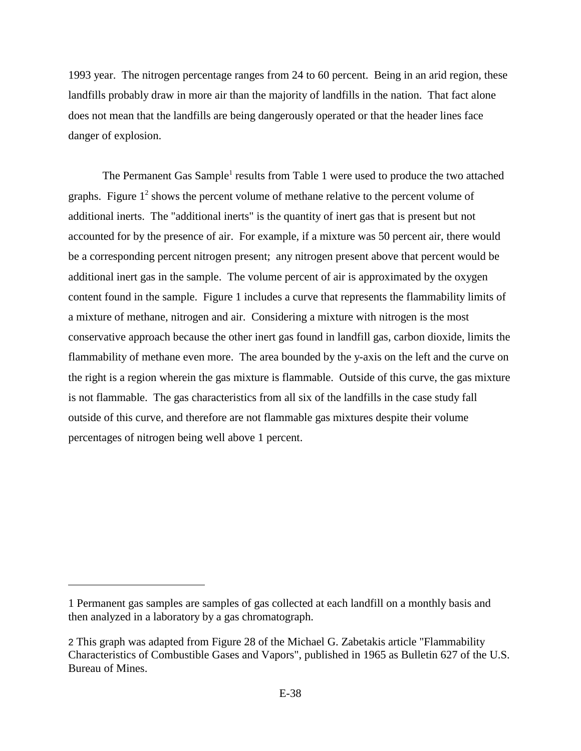1993 year. The nitrogen percentage ranges from 24 to 60 percent. Being in an arid region, these landfills probably draw in more air than the majority of landfills in the nation. That fact alone does not mean that the landfills are being dangerously operated or that the header lines face danger of explosion.

The Permanent Gas Sample<sup>1</sup> results from Table 1 were used to produce the two attached graphs. Figure  $1<sup>2</sup>$  shows the percent volume of methane relative to the percent volume of additional inerts. The "additional inerts" is the quantity of inert gas that is present but not accounted for by the presence of air. For example, if a mixture was 50 percent air, there would be a corresponding percent nitrogen present; any nitrogen present above that percent would be additional inert gas in the sample. The volume percent of air is approximated by the oxygen content found in the sample. Figure 1 includes a curve that represents the flammability limits of a mixture of methane, nitrogen and air. Considering a mixture with nitrogen is the most conservative approach because the other inert gas found in landfill gas, carbon dioxide, limits the flammability of methane even more. The area bounded by the y-axis on the left and the curve on the right is a region wherein the gas mixture is flammable. Outside of this curve, the gas mixture is not flammable. The gas characteristics from all six of the landfills in the case study fall outside of this curve, and therefore are not flammable gas mixtures despite their volume percentages of nitrogen being well above 1 percent.

<sup>1</sup> Permanent gas samples are samples of gas collected at each landfill on a monthly basis and then analyzed in a laboratory by a gas chromatograph.

<sup>2</sup> This graph was adapted from Figure 28 of the Michael G. Zabetakis article "Flammability Characteristics of Combustible Gases and Vapors", published in 1965 as Bulletin 627 of the U.S. Bureau of Mines.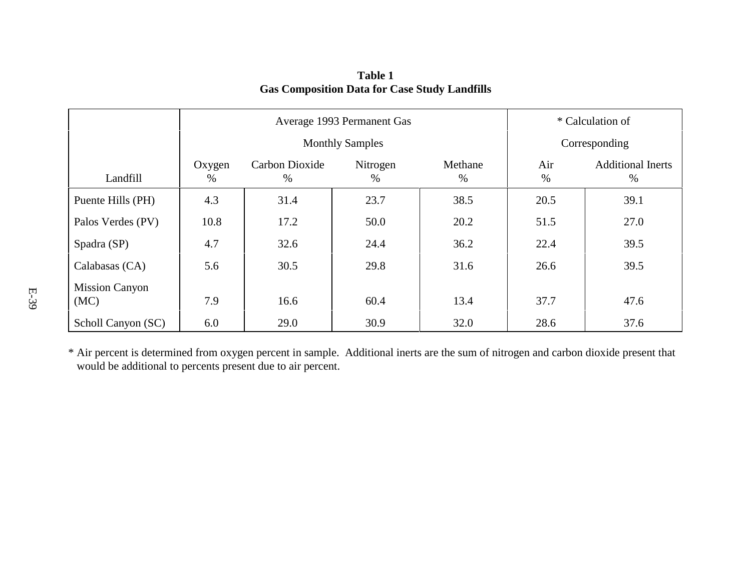|                               |                | Average 1993 Permanent Gas |                        | * Calculation of              |      |               |
|-------------------------------|----------------|----------------------------|------------------------|-------------------------------|------|---------------|
|                               |                |                            | <b>Monthly Samples</b> |                               |      | Corresponding |
| Landfill                      | Oxygen<br>$\%$ | Carbon Dioxide<br>%        | Air<br>%               | <b>Additional Inerts</b><br>% |      |               |
| Puente Hills (PH)             | 4.3            | 31.4                       | 23.7                   | 38.5                          | 20.5 | 39.1          |
| Palos Verdes (PV)             | 10.8           | 17.2                       | 50.0                   | 20.2                          | 51.5 | 27.0          |
| Spadra (SP)                   | 4.7            | 32.6                       | 24.4                   | 36.2                          | 22.4 | 39.5          |
| Calabasas (CA)                | 5.6            | 30.5                       | 29.8                   | 31.6                          | 26.6 | 39.5          |
| <b>Mission Canyon</b><br>(MC) | 7.9            | 16.6                       | 60.4                   | 13.4                          | 37.7 | 47.6          |
| Scholl Canyon (SC)            | 6.0            | 29.0                       | 30.9                   | 32.0                          | 28.6 | 37.6          |

**Table 1Gas Composition Data for Case Study Landfills**

\* Air percent is determined from oxygen percent in sample. Additional inerts are the sum of nitrogen and carbon dioxide present that would be additional to percents present due to air percent.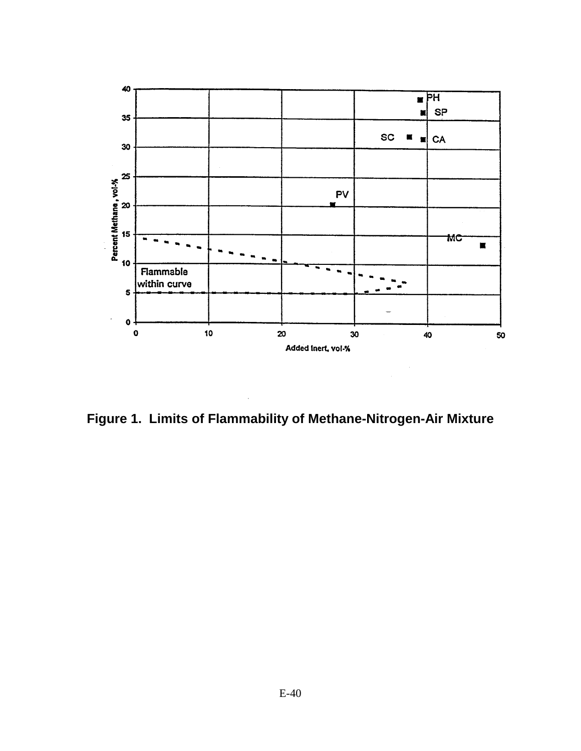

**Figure 1. Limits of Flammability of Methane-Nitrogen-Air Mixture**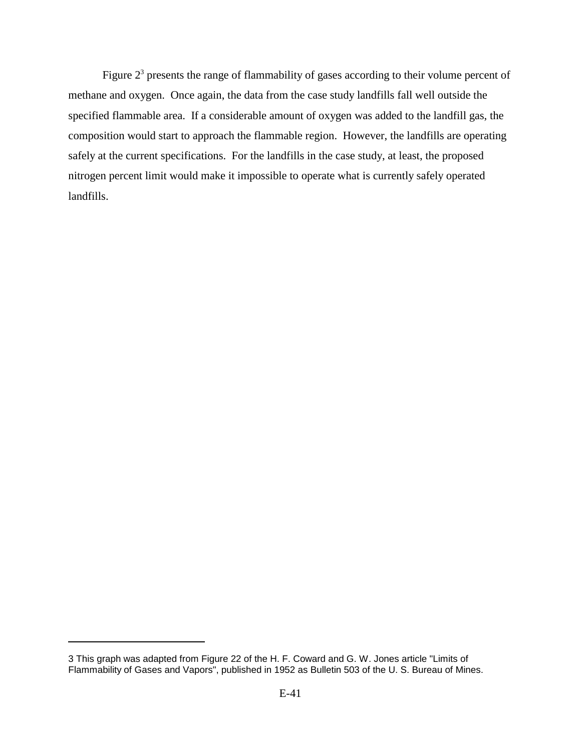Figure  $2<sup>3</sup>$  presents the range of flammability of gases according to their volume percent of methane and oxygen. Once again, the data from the case study landfills fall well outside the specified flammable area. If a considerable amount of oxygen was added to the landfill gas, the composition would start to approach the flammable region. However, the landfills are operating safely at the current specifications. For the landfills in the case study, at least, the proposed nitrogen percent limit would make it impossible to operate what is currently safely operated landfills.

<sup>3</sup> This graph was adapted from Figure 22 of the H. F. Coward and G. W. Jones article "Limits of Flammability of Gases and Vapors", published in 1952 as Bulletin 503 of the U. S. Bureau of Mines.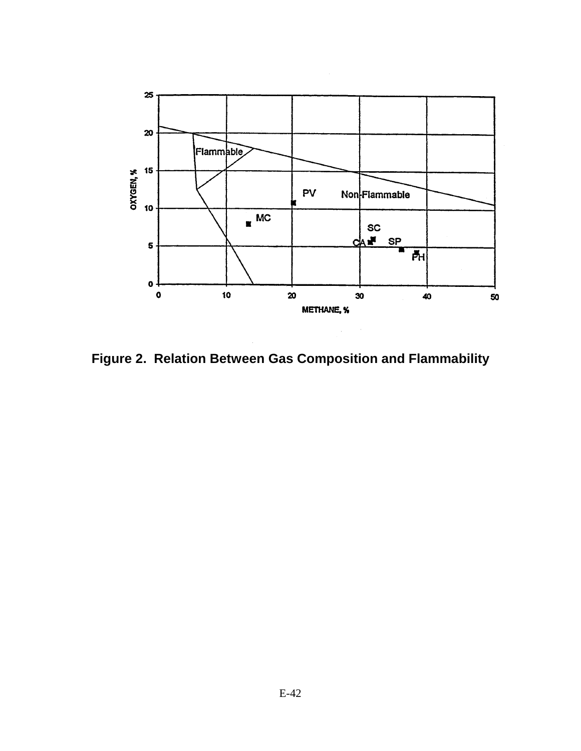

**Figure 2. Relation Between Gas Composition and Flammability**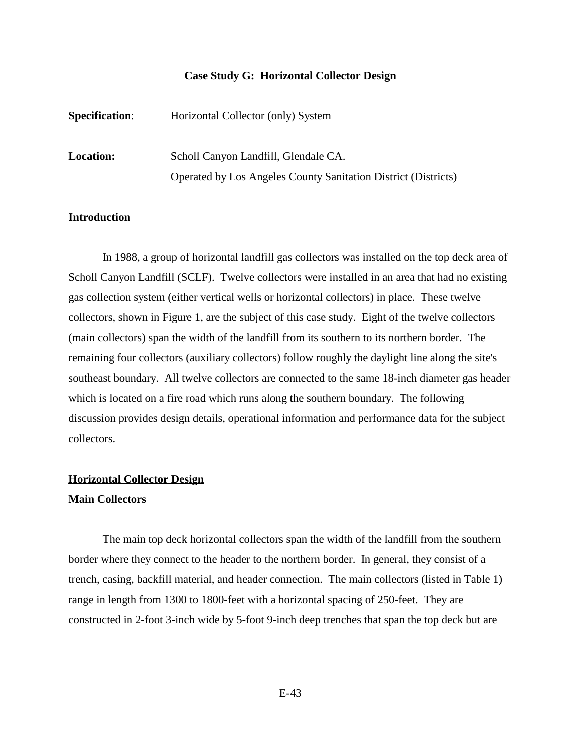#### **Case Study G: Horizontal Collector Design**

| <b>Specification:</b> | Horizontal Collector (only) System                                    |
|-----------------------|-----------------------------------------------------------------------|
| <b>Location:</b>      | Scholl Canyon Landfill, Glendale CA.                                  |
|                       | <b>Operated by Los Angeles County Sanitation District (Districts)</b> |

#### **Introduction**

In 1988, a group of horizontal landfill gas collectors was installed on the top deck area of Scholl Canyon Landfill (SCLF). Twelve collectors were installed in an area that had no existing gas collection system (either vertical wells or horizontal collectors) in place. These twelve collectors, shown in Figure 1, are the subject of this case study. Eight of the twelve collectors (main collectors) span the width of the landfill from its southern to its northern border. The remaining four collectors (auxiliary collectors) follow roughly the daylight line along the site's southeast boundary. All twelve collectors are connected to the same 18-inch diameter gas header which is located on a fire road which runs along the southern boundary. The following discussion provides design details, operational information and performance data for the subject collectors.

#### **Horizontal Collector Design**

#### **Main Collectors**

The main top deck horizontal collectors span the width of the landfill from the southern border where they connect to the header to the northern border. In general, they consist of a trench, casing, backfill material, and header connection. The main collectors (listed in Table 1) range in length from 1300 to 1800-feet with a horizontal spacing of 250-feet. They are constructed in 2-foot 3-inch wide by 5-foot 9-inch deep trenches that span the top deck but are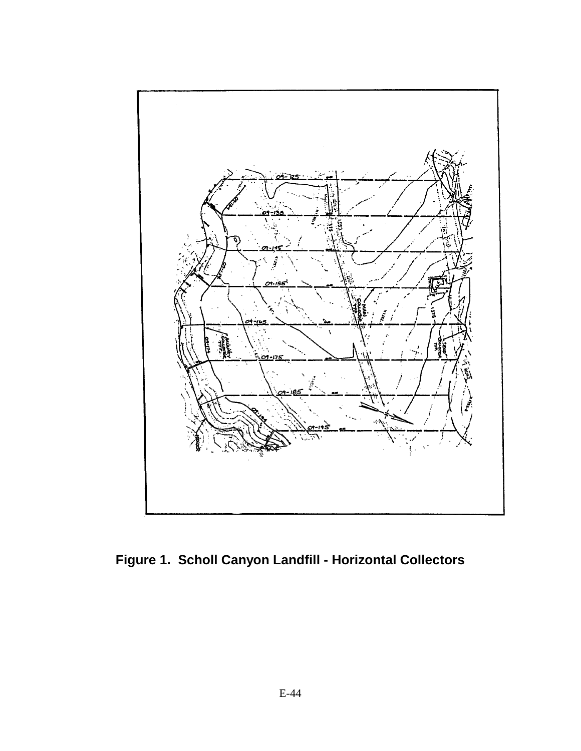

**Figure 1. Scholl Canyon Landfill - Horizontal Collectors**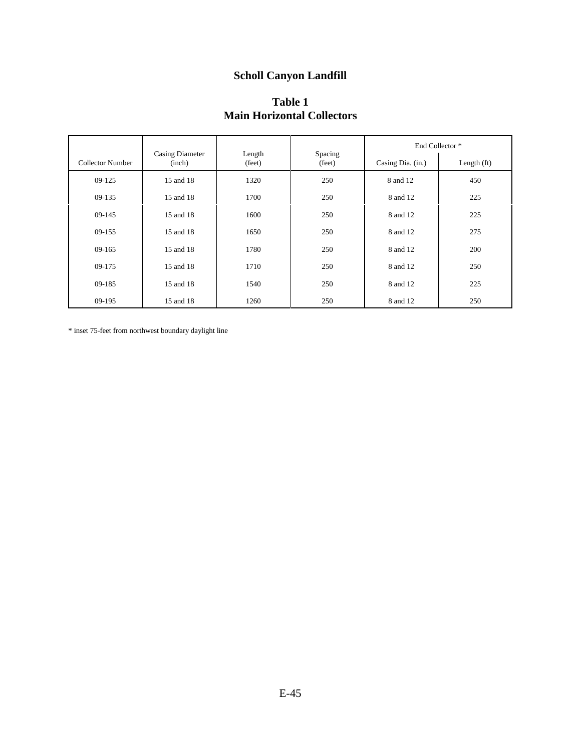# **Scholl Canyon Landfill**

## **Table 1 Main Horizontal Collectors**

|                  |                                  |                  |                   |                   | End Collector <sup>*</sup> |
|------------------|----------------------------------|------------------|-------------------|-------------------|----------------------------|
| Collector Number | <b>Casing Diameter</b><br>(inch) | Length<br>(feet) | Spacing<br>(feet) | Casing Dia. (in.) | Length $(ft)$              |
| $09-125$         | 15 and 18                        | 1320             | 250               | 8 and 12          | 450                        |
| $09-135$         | 15 and 18                        | 1700             | 250               | 8 and 12          | 225                        |
| 09-145           | 15 and 18                        | 1600             | 250               | 8 and 12          | 225                        |
| $09-155$         | 15 and 18                        | 1650             | 250               | 8 and 12          | 275                        |
| $09-165$         | 15 and 18                        | 1780             | 250               | 8 and 12          | 200                        |
| 09-175           | 15 and 18                        | 1710             | 250               | 8 and 12          | 250                        |
| 09-185           | 15 and 18                        | 1540             | 250               | 8 and 12          | 225                        |
| 09-195           | 15 and 18                        | 1260             | 250               | 8 and 12          | 250                        |

 $\hspace{0.1mm}^*$  inset 75-feet from northwest boundary daylight line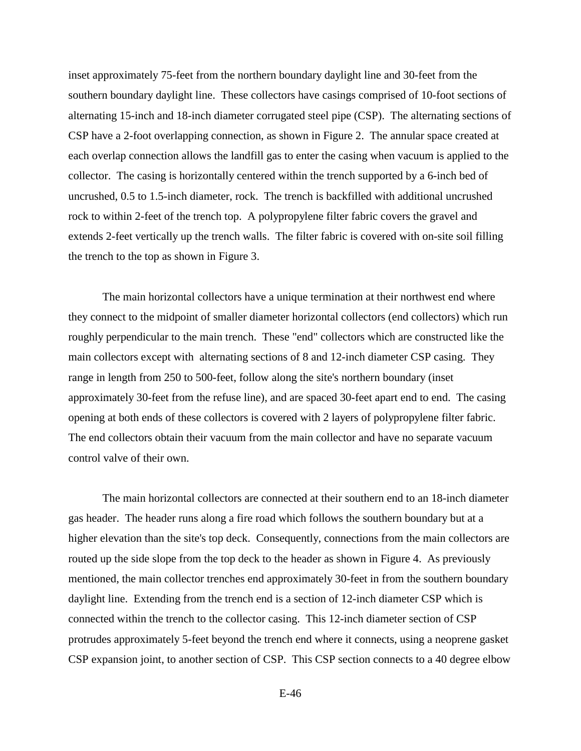inset approximately 75-feet from the northern boundary daylight line and 30-feet from the southern boundary daylight line. These collectors have casings comprised of 10-foot sections of alternating 15-inch and 18-inch diameter corrugated steel pipe (CSP). The alternating sections of CSP have a 2-foot overlapping connection, as shown in Figure 2. The annular space created at each overlap connection allows the landfill gas to enter the casing when vacuum is applied to the collector. The casing is horizontally centered within the trench supported by a 6-inch bed of uncrushed, 0.5 to 1.5-inch diameter, rock. The trench is backfilled with additional uncrushed rock to within 2-feet of the trench top. A polypropylene filter fabric covers the gravel and extends 2-feet vertically up the trench walls. The filter fabric is covered with on-site soil filling the trench to the top as shown in Figure 3.

The main horizontal collectors have a unique termination at their northwest end where they connect to the midpoint of smaller diameter horizontal collectors (end collectors) which run roughly perpendicular to the main trench. These "end" collectors which are constructed like the main collectors except with alternating sections of 8 and 12-inch diameter CSP casing. They range in length from 250 to 500-feet, follow along the site's northern boundary (inset approximately 30-feet from the refuse line), and are spaced 30-feet apart end to end. The casing opening at both ends of these collectors is covered with 2 layers of polypropylene filter fabric. The end collectors obtain their vacuum from the main collector and have no separate vacuum control valve of their own.

The main horizontal collectors are connected at their southern end to an 18-inch diameter gas header. The header runs along a fire road which follows the southern boundary but at a higher elevation than the site's top deck. Consequently, connections from the main collectors are routed up the side slope from the top deck to the header as shown in Figure 4. As previously mentioned, the main collector trenches end approximately 30-feet in from the southern boundary daylight line. Extending from the trench end is a section of 12-inch diameter CSP which is connected within the trench to the collector casing. This 12-inch diameter section of CSP protrudes approximately 5-feet beyond the trench end where it connects, using a neoprene gasket CSP expansion joint, to another section of CSP. This CSP section connects to a 40 degree elbow

E-46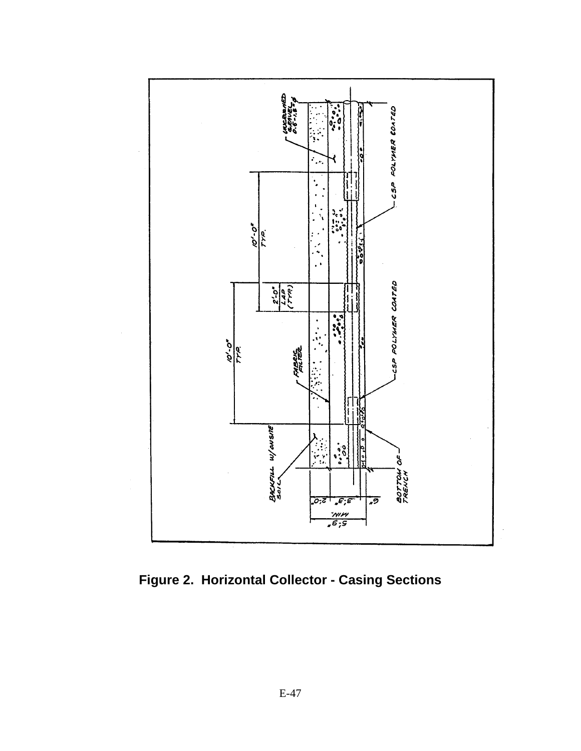

**Figure 2. Horizontal Collector - Casing Sections**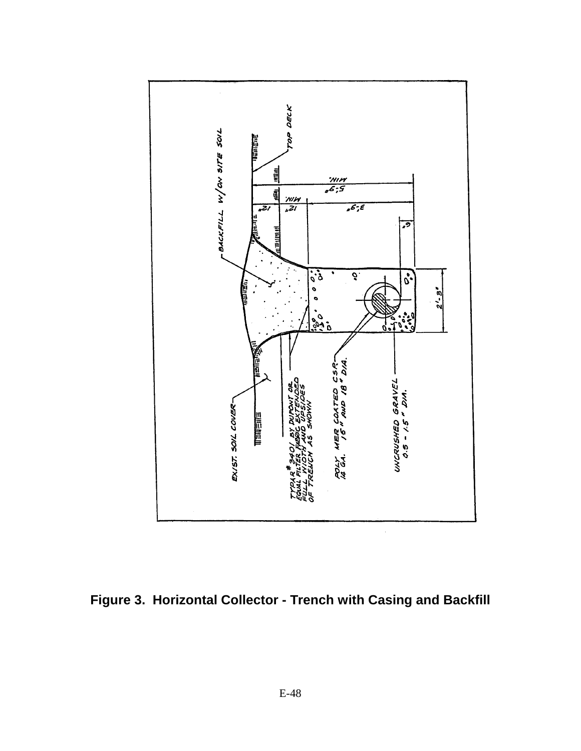

**Figure 3. Horizontal Collector - Trench with Casing and Backfill**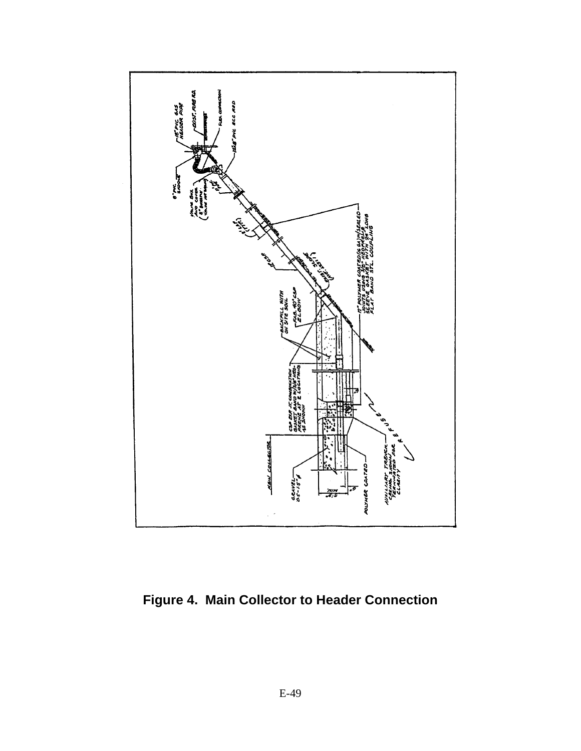

**Figure 4. Main Collector to Header Connection**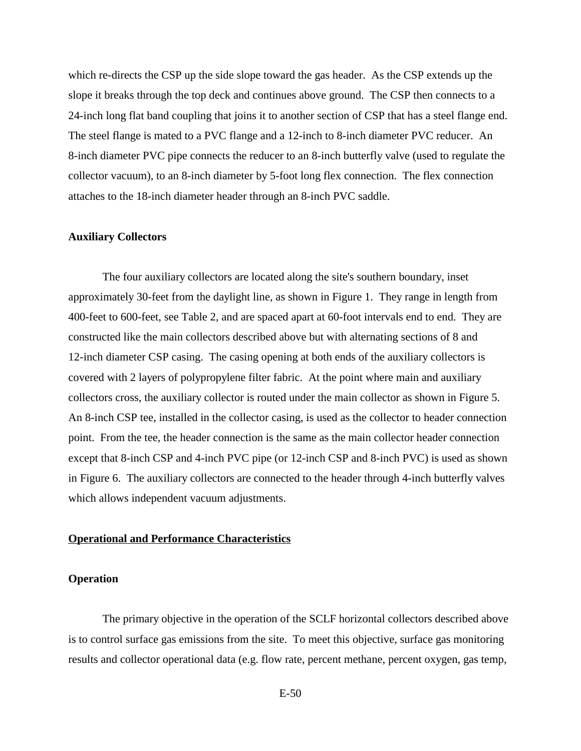which re-directs the CSP up the side slope toward the gas header. As the CSP extends up the slope it breaks through the top deck and continues above ground. The CSP then connects to a 24-inch long flat band coupling that joins it to another section of CSP that has a steel flange end. The steel flange is mated to a PVC flange and a 12-inch to 8-inch diameter PVC reducer. An 8-inch diameter PVC pipe connects the reducer to an 8-inch butterfly valve (used to regulate the collector vacuum), to an 8-inch diameter by 5-foot long flex connection. The flex connection attaches to the 18-inch diameter header through an 8-inch PVC saddle.

#### **Auxiliary Collectors**

The four auxiliary collectors are located along the site's southern boundary, inset approximately 30-feet from the daylight line, as shown in Figure 1. They range in length from 400-feet to 600-feet, see Table 2, and are spaced apart at 60-foot intervals end to end. They are constructed like the main collectors described above but with alternating sections of 8 and 12-inch diameter CSP casing. The casing opening at both ends of the auxiliary collectors is covered with 2 layers of polypropylene filter fabric. At the point where main and auxiliary collectors cross, the auxiliary collector is routed under the main collector as shown in Figure 5. An 8-inch CSP tee, installed in the collector casing, is used as the collector to header connection point. From the tee, the header connection is the same as the main collector header connection except that 8-inch CSP and 4-inch PVC pipe (or 12-inch CSP and 8-inch PVC) is used as shown in Figure 6. The auxiliary collectors are connected to the header through 4-inch butterfly valves which allows independent vacuum adjustments.

#### **Operational and Performance Characteristics**

#### **Operation**

The primary objective in the operation of the SCLF horizontal collectors described above is to control surface gas emissions from the site. To meet this objective, surface gas monitoring results and collector operational data (e.g. flow rate, percent methane, percent oxygen, gas temp,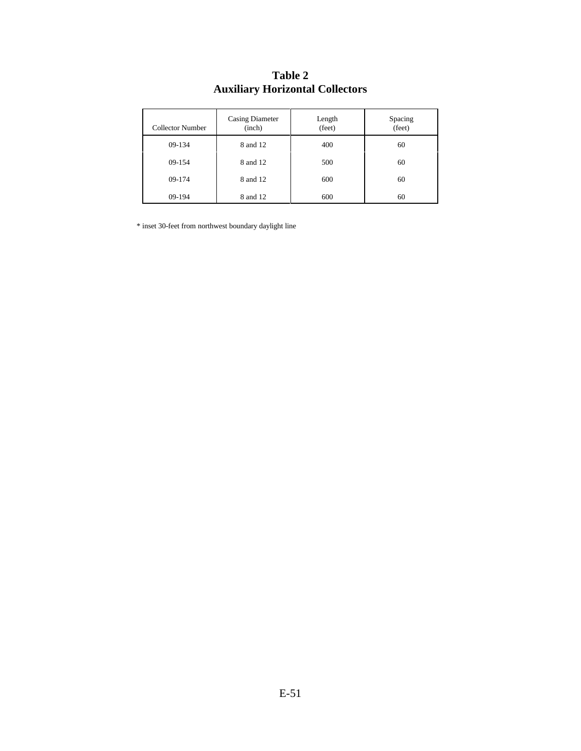| <b>Collector Number</b> | <b>Casing Diameter</b><br>(inch) | Length<br>(feet) | Spacing<br>(teet) |
|-------------------------|----------------------------------|------------------|-------------------|
| 09-134                  | 8 and 12                         | 400              | 60                |
| 09-154                  | 8 and 12                         | 500              | 60                |
| 09-174                  | 8 and 12                         | 600              | 60                |
| 09-194                  | 8 and 12                         | 600              | 60                |

## **Table 2 Auxiliary Horizontal Collectors**

 $\hspace{0.1mm}^*$  inset 30-feet from northwest boundary daylight line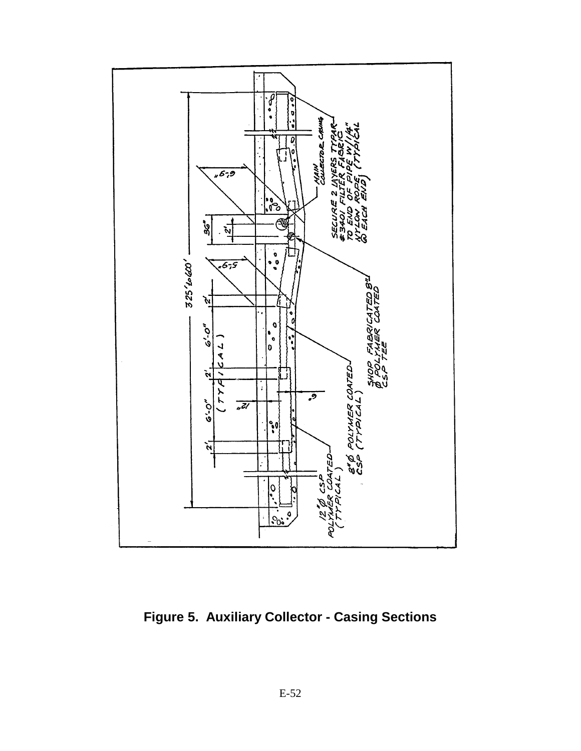

**Figure 5. Auxiliary Collector - Casing Sections**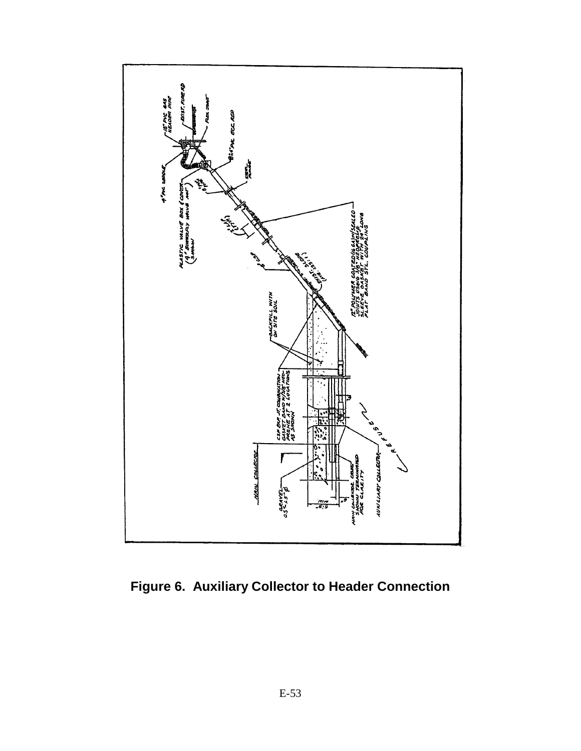

**Figure 6. Auxiliary Collector to Header Connection**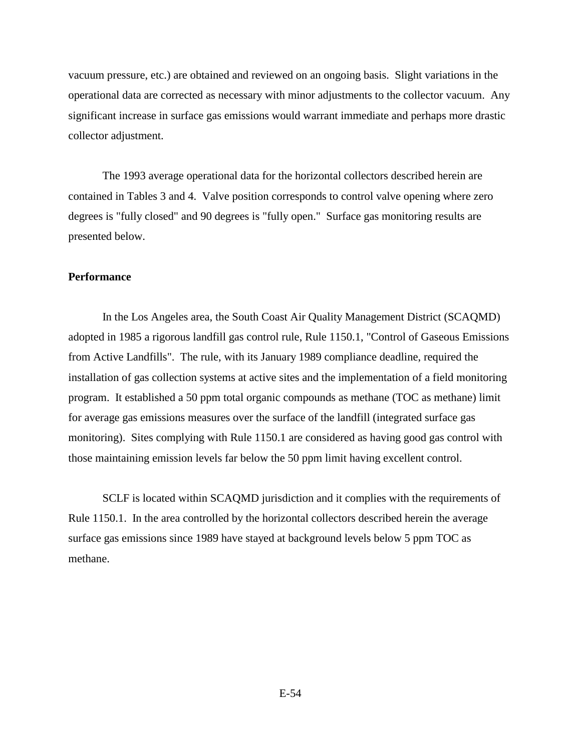vacuum pressure, etc.) are obtained and reviewed on an ongoing basis. Slight variations in the operational data are corrected as necessary with minor adjustments to the collector vacuum. Any significant increase in surface gas emissions would warrant immediate and perhaps more drastic collector adjustment.

The 1993 average operational data for the horizontal collectors described herein are contained in Tables 3 and 4. Valve position corresponds to control valve opening where zero degrees is "fully closed" and 90 degrees is "fully open." Surface gas monitoring results are presented below.

#### **Performance**

In the Los Angeles area, the South Coast Air Quality Management District (SCAQMD) adopted in 1985 a rigorous landfill gas control rule, Rule 1150.1, "Control of Gaseous Emissions from Active Landfills". The rule, with its January 1989 compliance deadline, required the installation of gas collection systems at active sites and the implementation of a field monitoring program. It established a 50 ppm total organic compounds as methane (TOC as methane) limit for average gas emissions measures over the surface of the landfill (integrated surface gas monitoring). Sites complying with Rule 1150.1 are considered as having good gas control with those maintaining emission levels far below the 50 ppm limit having excellent control.

SCLF is located within SCAQMD jurisdiction and it complies with the requirements of Rule 1150.1. In the area controlled by the horizontal collectors described herein the average surface gas emissions since 1989 have stayed at background levels below 5 ppm TOC as methane.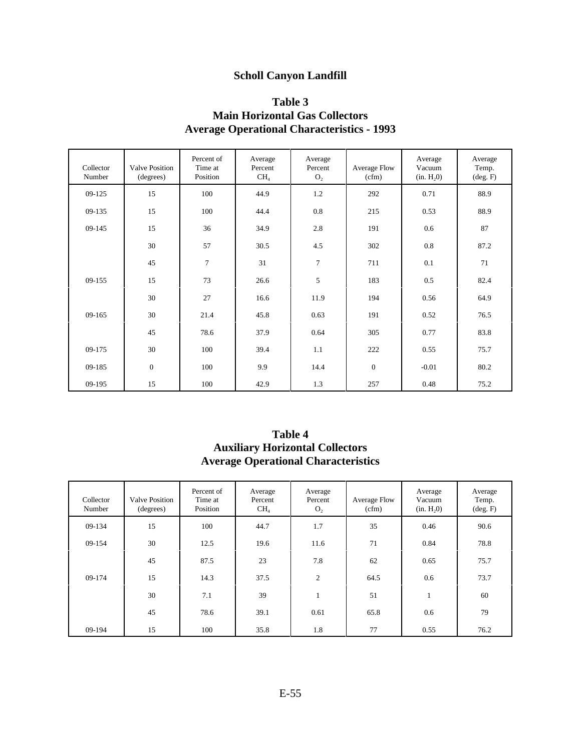## **Scholl Canyon Landfill**

### **Table 3 Main Horizontal Gas Collectors Average Operational Characteristics - 1993**

| Collector<br>Number | <b>Valve Position</b><br>(degrees) | Percent of<br>Time at<br>Position | Average<br>Percent<br>CH <sub>4</sub> | Average<br>Percent<br>O <sub>2</sub> | Average Flow<br>(cfm) | Average<br>Vacuum<br>(in. H <sub>2</sub> 0) | Average<br>Temp.<br>$(\text{deg. F})$ |
|---------------------|------------------------------------|-----------------------------------|---------------------------------------|--------------------------------------|-----------------------|---------------------------------------------|---------------------------------------|
| 09-125              | 15                                 | 100                               | 44.9                                  | 1.2                                  | 292                   | 0.71                                        | 88.9                                  |
| 09-135              | 15                                 | 100                               | 44.4                                  | 0.8                                  | 215                   | 0.53                                        | 88.9                                  |
| 09-145              | 15                                 | 36                                | 34.9                                  | 2.8                                  | 191                   | 0.6                                         | 87                                    |
|                     | 30                                 | 57                                | 30.5                                  | 4.5                                  | 302                   | 0.8                                         | 87.2                                  |
|                     | 45                                 | 7                                 | 31                                    | 7                                    | 711                   | 0.1                                         | 71                                    |
| 09-155              | 15                                 | 73                                | 26.6                                  | 5                                    | 183                   | 0.5                                         | 82.4                                  |
|                     | 30                                 | 27                                | 16.6                                  | 11.9                                 | 194                   | 0.56                                        | 64.9                                  |
| $09-165$            | 30                                 | 21.4                              | 45.8                                  | 0.63                                 | 191                   | 0.52                                        | 76.5                                  |
|                     | 45                                 | 78.6                              | 37.9                                  | 0.64                                 | 305                   | 0.77                                        | 83.8                                  |
| 09-175              | 30                                 | 100                               | 39.4                                  | 1.1                                  | 222                   | 0.55                                        | 75.7                                  |
| 09-185              | $\mathbf{0}$                       | 100                               | 9.9                                   | 14.4                                 | $\mathbf{0}$          | $-0.01$                                     | 80.2                                  |
| 09-195              | 15                                 | 100                               | 42.9                                  | 1.3                                  | 257                   | 0.48                                        | 75.2                                  |

### **Table 4 Auxiliary Horizontal Collectors Average Operational Characteristics**

| Collector<br>Number | <b>Valve Position</b><br>(degrees) | Percent of<br>Time at<br>Position | Average<br>Percent<br>CH <sub>4</sub> | Average<br>Percent<br>O <sub>2</sub> | Average Flow<br>(cfm) | Average<br>Vacuum<br>(in. H, 0) | Average<br>Temp.<br>$(\text{deg. F})$ |
|---------------------|------------------------------------|-----------------------------------|---------------------------------------|--------------------------------------|-----------------------|---------------------------------|---------------------------------------|
| 09-134              | 15                                 | 100                               | 44.7                                  | 1.7                                  | 35                    | 0.46                            | 90.6                                  |
| 09-154              | 30                                 | 12.5                              | 19.6                                  | 11.6                                 | 71                    | 0.84                            | 78.8                                  |
|                     | 45                                 | 87.5                              | 23                                    | 7.8                                  | 62                    | 0.65                            | 75.7                                  |
| 09-174              | 15                                 | 14.3                              | 37.5                                  | 2                                    | 64.5                  | 0.6                             | 73.7                                  |
|                     | 30                                 | 7.1                               | 39                                    | $\mathbf{1}$                         | 51                    | $\mathbf{1}$                    | 60                                    |
|                     | 45                                 | 78.6                              | 39.1                                  | 0.61                                 | 65.8                  | 0.6                             | 79                                    |
| 09-194              | 15                                 | 100                               | 35.8                                  | 1.8                                  | 77                    | 0.55                            | 76.2                                  |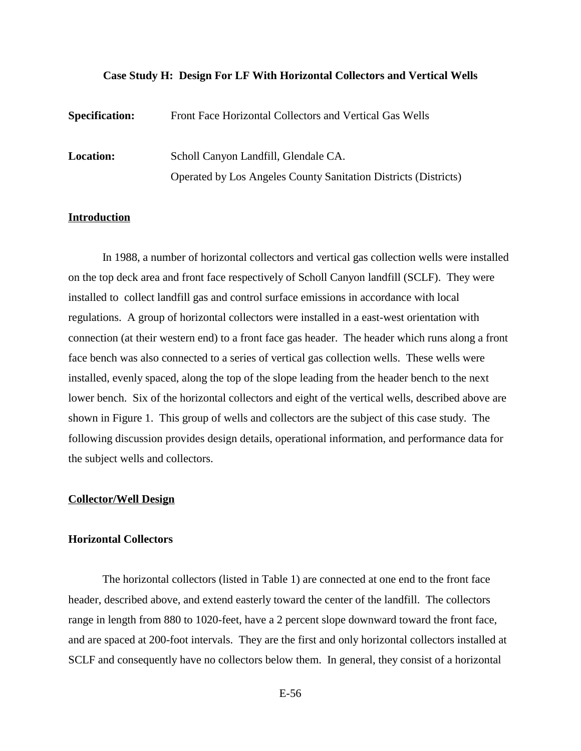#### **Case Study H: Design For LF With Horizontal Collectors and Vertical Wells**

| <b>Specification:</b> | Front Face Horizontal Collectors and Vertical Gas Wells         |
|-----------------------|-----------------------------------------------------------------|
| <b>Location:</b>      | Scholl Canyon Landfill, Glendale CA.                            |
|                       | Operated by Los Angeles County Sanitation Districts (Districts) |

#### **Introduction**

In 1988, a number of horizontal collectors and vertical gas collection wells were installed on the top deck area and front face respectively of Scholl Canyon landfill (SCLF). They were installed to collect landfill gas and control surface emissions in accordance with local regulations. A group of horizontal collectors were installed in a east-west orientation with connection (at their western end) to a front face gas header. The header which runs along a front face bench was also connected to a series of vertical gas collection wells. These wells were installed, evenly spaced, along the top of the slope leading from the header bench to the next lower bench. Six of the horizontal collectors and eight of the vertical wells, described above are shown in Figure 1. This group of wells and collectors are the subject of this case study. The following discussion provides design details, operational information, and performance data for the subject wells and collectors.

#### **Collector/Well Design**

#### **Horizontal Collectors**

The horizontal collectors (listed in Table 1) are connected at one end to the front face header, described above, and extend easterly toward the center of the landfill. The collectors range in length from 880 to 1020-feet, have a 2 percent slope downward toward the front face, and are spaced at 200-foot intervals. They are the first and only horizontal collectors installed at SCLF and consequently have no collectors below them. In general, they consist of a horizontal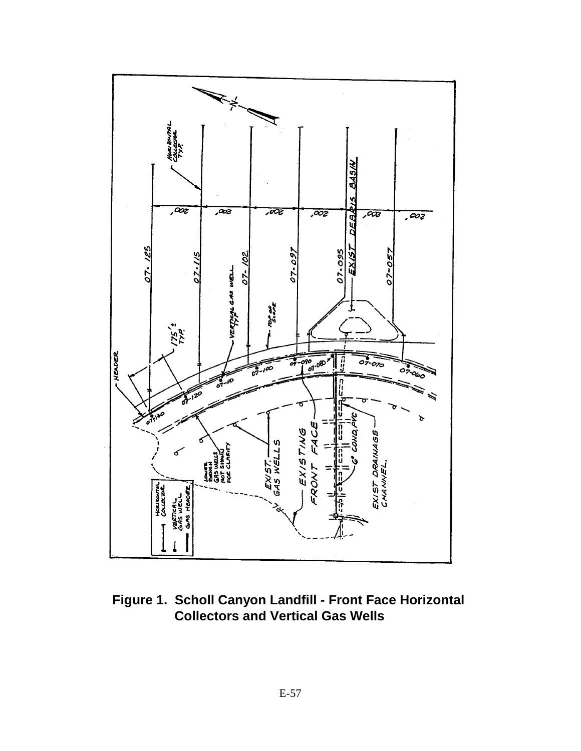

**Figure 1. Scholl Canyon Landfill - Front Face Horizontal Collectors and Vertical Gas Wells**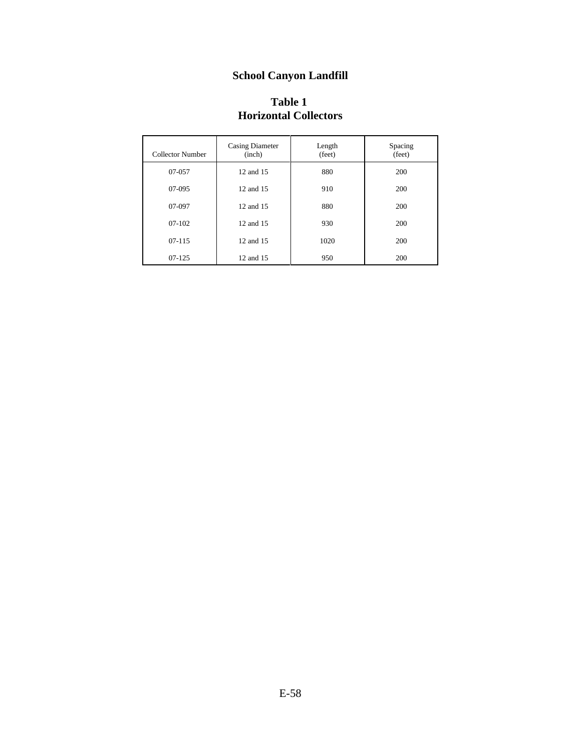# **School Canyon Landfill**

| <b>Table 1</b>               |  |
|------------------------------|--|
| <b>Horizontal Collectors</b> |  |

| Collector Number | Casing Diameter<br>(inch) | Length<br>(feet) | Spacing<br>(feet) |
|------------------|---------------------------|------------------|-------------------|
| 07-057           | 12 and 15                 | 880              | 200               |
| 07-095           | 12 and 15                 | 910              | 200               |
| 07-097           | 12 and 15                 | 880              | 200               |
| 07-102           | 12 and 15                 | 930              | 200               |
| 07-115           | 12 and 15                 | 1020             | 200               |
| $07-125$         | 12 and 15                 | 950              | 200               |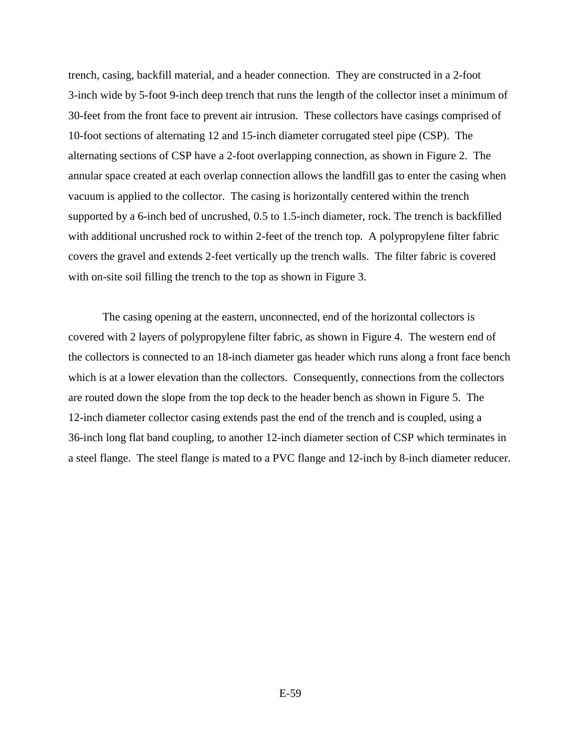trench, casing, backfill material, and a header connection. They are constructed in a 2-foot 3-inch wide by 5-foot 9-inch deep trench that runs the length of the collector inset a minimum of 30-feet from the front face to prevent air intrusion. These collectors have casings comprised of 10-foot sections of alternating 12 and 15-inch diameter corrugated steel pipe (CSP). The alternating sections of CSP have a 2-foot overlapping connection, as shown in Figure 2. The annular space created at each overlap connection allows the landfill gas to enter the casing when vacuum is applied to the collector. The casing is horizontally centered within the trench supported by a 6-inch bed of uncrushed, 0.5 to 1.5-inch diameter, rock. The trench is backfilled with additional uncrushed rock to within 2-feet of the trench top. A polypropylene filter fabric covers the gravel and extends 2-feet vertically up the trench walls. The filter fabric is covered with on-site soil filling the trench to the top as shown in Figure 3.

The casing opening at the eastern, unconnected, end of the horizontal collectors is covered with 2 layers of polypropylene filter fabric, as shown in Figure 4. The western end of the collectors is connected to an 18-inch diameter gas header which runs along a front face bench which is at a lower elevation than the collectors. Consequently, connections from the collectors are routed down the slope from the top deck to the header bench as shown in Figure 5. The 12-inch diameter collector casing extends past the end of the trench and is coupled, using a 36-inch long flat band coupling, to another 12-inch diameter section of CSP which terminates in a steel flange. The steel flange is mated to a PVC flange and 12-inch by 8-inch diameter reducer.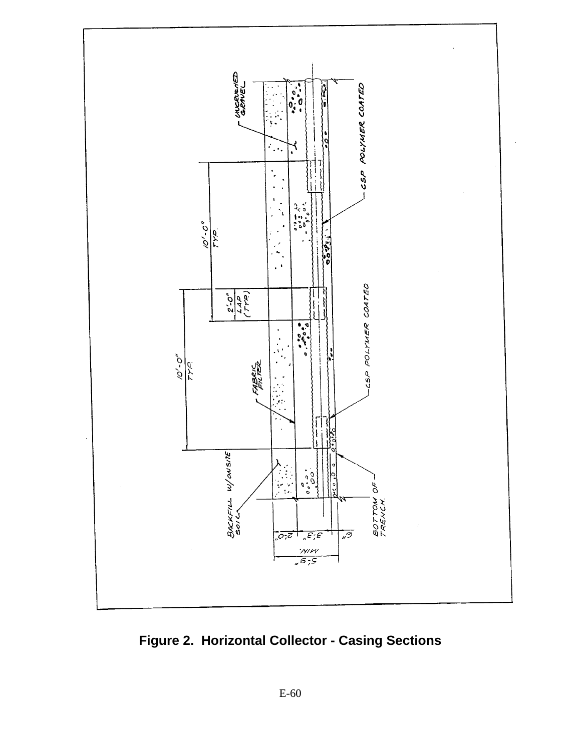

**Figure 2. Horizontal Collector - Casing Sections**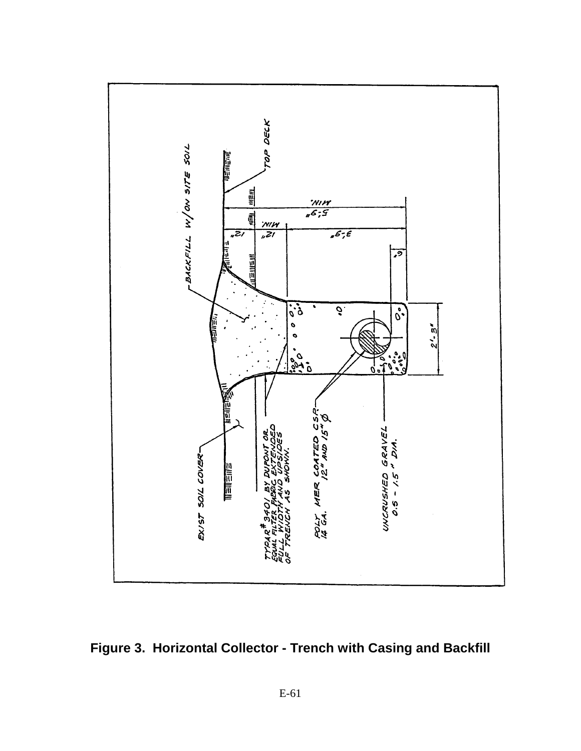

**Figure 3. Horizontal Collector - Trench with Casing and Backfill**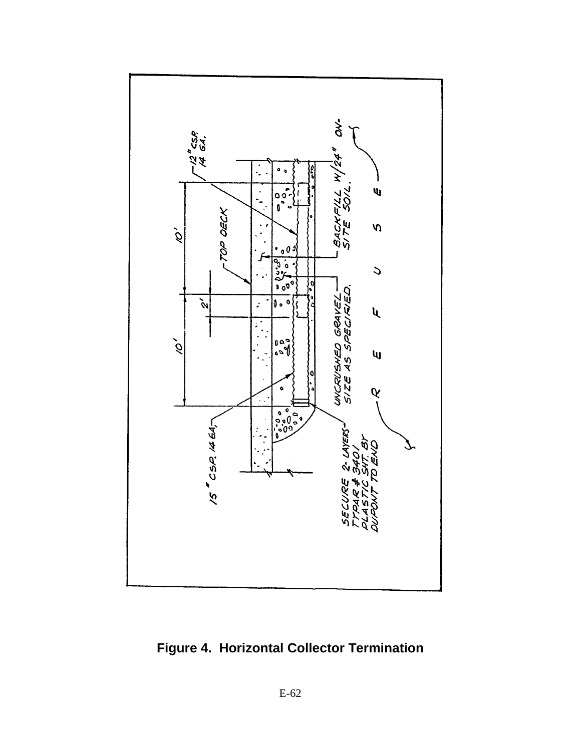

**Figure 4. Horizontal Collector Termination**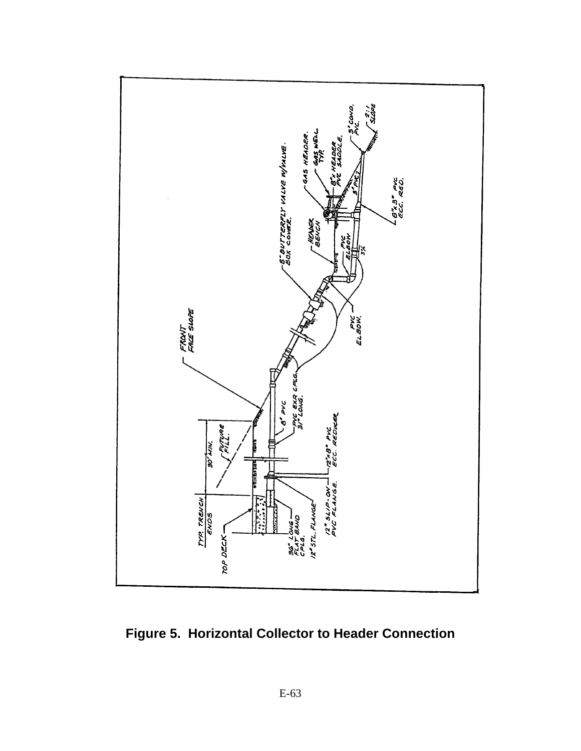

**Figure 5. Horizontal Collector to Header Connection**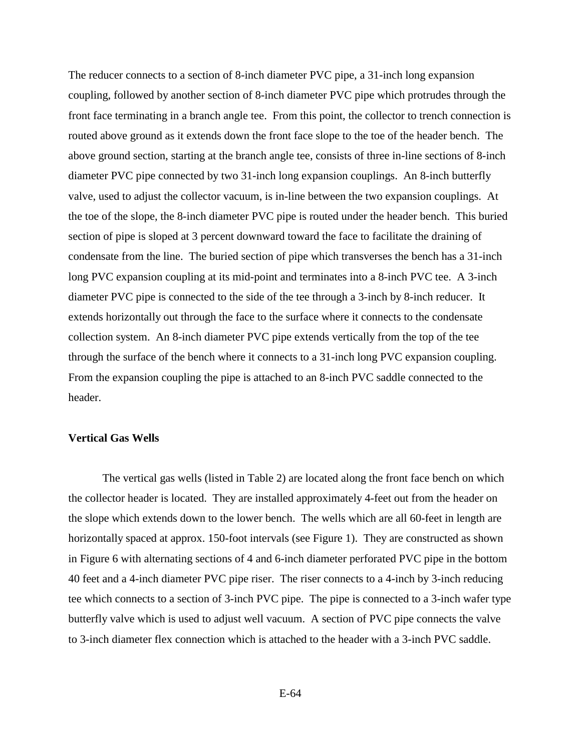The reducer connects to a section of 8-inch diameter PVC pipe, a 31-inch long expansion coupling, followed by another section of 8-inch diameter PVC pipe which protrudes through the front face terminating in a branch angle tee. From this point, the collector to trench connection is routed above ground as it extends down the front face slope to the toe of the header bench. The above ground section, starting at the branch angle tee, consists of three in-line sections of 8-inch diameter PVC pipe connected by two 31-inch long expansion couplings. An 8-inch butterfly valve, used to adjust the collector vacuum, is in-line between the two expansion couplings. At the toe of the slope, the 8-inch diameter PVC pipe is routed under the header bench. This buried section of pipe is sloped at 3 percent downward toward the face to facilitate the draining of condensate from the line. The buried section of pipe which transverses the bench has a 31-inch long PVC expansion coupling at its mid-point and terminates into a 8-inch PVC tee. A 3-inch diameter PVC pipe is connected to the side of the tee through a 3-inch by 8-inch reducer. It extends horizontally out through the face to the surface where it connects to the condensate collection system. An 8-inch diameter PVC pipe extends vertically from the top of the tee through the surface of the bench where it connects to a 31-inch long PVC expansion coupling. From the expansion coupling the pipe is attached to an 8-inch PVC saddle connected to the header.

#### **Vertical Gas Wells**

The vertical gas wells (listed in Table 2) are located along the front face bench on which the collector header is located. They are installed approximately 4-feet out from the header on the slope which extends down to the lower bench. The wells which are all 60-feet in length are horizontally spaced at approx. 150-foot intervals (see Figure 1). They are constructed as shown in Figure 6 with alternating sections of 4 and 6-inch diameter perforated PVC pipe in the bottom 40 feet and a 4-inch diameter PVC pipe riser. The riser connects to a 4-inch by 3-inch reducing tee which connects to a section of 3-inch PVC pipe. The pipe is connected to a 3-inch wafer type butterfly valve which is used to adjust well vacuum. A section of PVC pipe connects the valve to 3-inch diameter flex connection which is attached to the header with a 3-inch PVC saddle.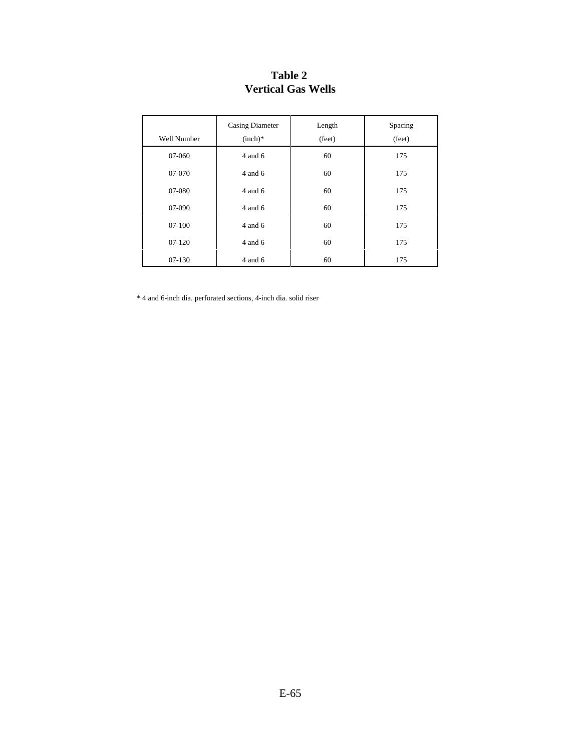| Well Number | <b>Casing Diameter</b><br>$(inch)*$ | Length<br>(feet) | Spacing<br>(feet) |
|-------------|-------------------------------------|------------------|-------------------|
| 07-060      | $4$ and $6$                         | 60               | 175               |
| 07-070      | $4$ and $6$                         | 60               | 175               |
| 07-080      | $4$ and $6$                         | 60               | 175               |
| 07-090      | $4$ and $6$                         | 60               | 175               |
| $07-100$    | $4$ and $6$                         | 60               | 175               |
| $07-120$    | 4 and 6                             | 60               | 175               |
| $07-130$    | $4$ and $6$                         | 60               | 175               |

## **Table 2 Vertical Gas Wells**

\* 4 and 6-inch dia. perforated sections, 4-inch dia. solid riser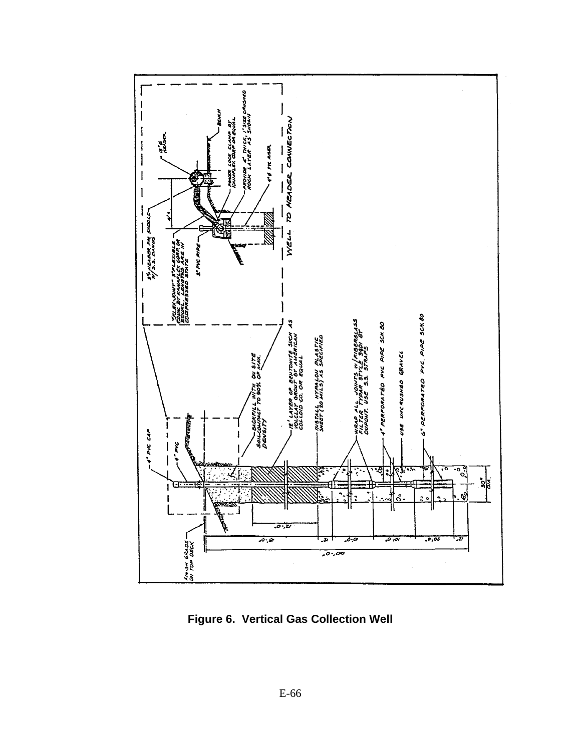

**Figure 6. Vertical Gas Collection Well**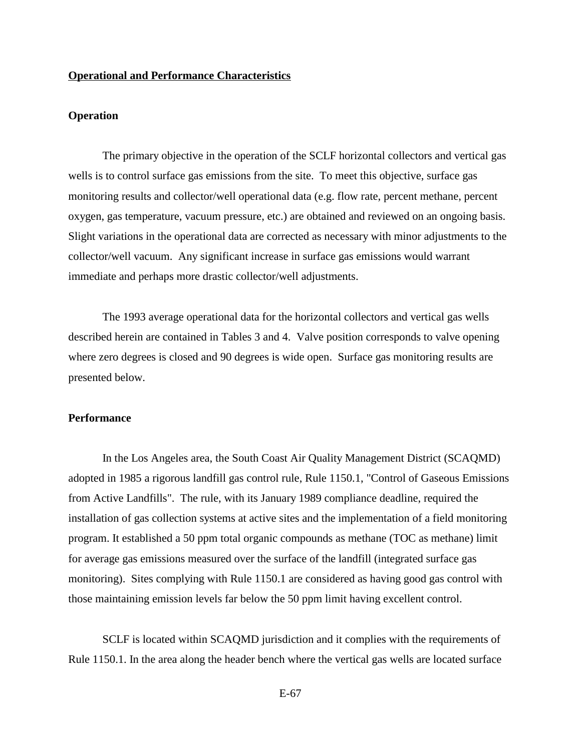#### **Operational and Performance Characteristics**

#### **Operation**

The primary objective in the operation of the SCLF horizontal collectors and vertical gas wells is to control surface gas emissions from the site. To meet this objective, surface gas monitoring results and collector/well operational data (e.g. flow rate, percent methane, percent oxygen, gas temperature, vacuum pressure, etc.) are obtained and reviewed on an ongoing basis. Slight variations in the operational data are corrected as necessary with minor adjustments to the collector/well vacuum. Any significant increase in surface gas emissions would warrant immediate and perhaps more drastic collector/well adjustments.

The 1993 average operational data for the horizontal collectors and vertical gas wells described herein are contained in Tables 3 and 4. Valve position corresponds to valve opening where zero degrees is closed and 90 degrees is wide open. Surface gas monitoring results are presented below.

#### **Performance**

In the Los Angeles area, the South Coast Air Quality Management District (SCAQMD) adopted in 1985 a rigorous landfill gas control rule, Rule 1150.1, "Control of Gaseous Emissions from Active Landfills". The rule, with its January 1989 compliance deadline, required the installation of gas collection systems at active sites and the implementation of a field monitoring program. It established a 50 ppm total organic compounds as methane (TOC as methane) limit for average gas emissions measured over the surface of the landfill (integrated surface gas monitoring). Sites complying with Rule 1150.1 are considered as having good gas control with those maintaining emission levels far below the 50 ppm limit having excellent control.

SCLF is located within SCAQMD jurisdiction and it complies with the requirements of Rule 1150.1. In the area along the header bench where the vertical gas wells are located surface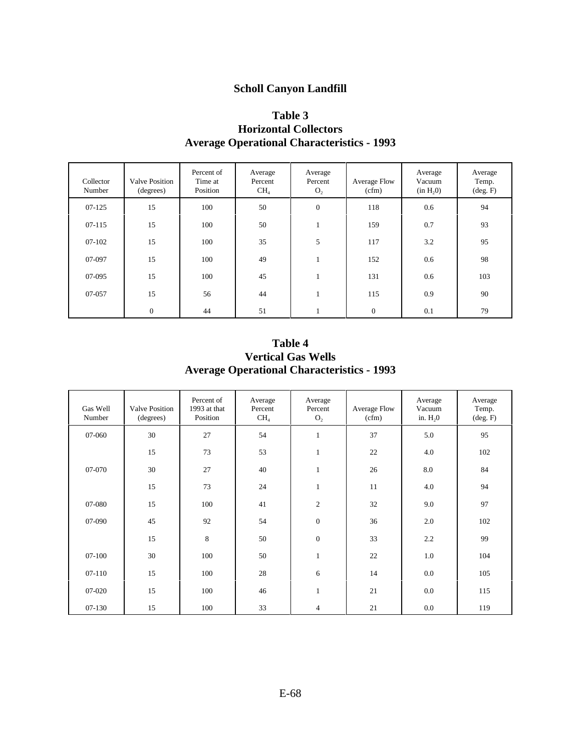### **Scholl Canyon Landfill**

### **Table 3 Horizontal Collectors Average Operational Characteristics - 1993**

| Collector<br>Number | <b>Valve Position</b><br>(degrees) | Percent of<br>Time at<br>Position | Average<br>Percent<br>CH <sub>4</sub> | Average<br>Percent<br>O <sub>2</sub> | Average Flow<br>(cfm) | Average<br>Vacuum<br>(in H <sub>2</sub> 0) | Average<br>Temp.<br>$(\text{deg. F})$ |
|---------------------|------------------------------------|-----------------------------------|---------------------------------------|--------------------------------------|-----------------------|--------------------------------------------|---------------------------------------|
| 07-125              | 15                                 | 100                               | 50                                    | $\boldsymbol{0}$                     | 118                   | 0.6                                        | 94                                    |
| $07 - 115$          | 15                                 | 100                               | 50                                    |                                      | 159                   | 0.7                                        | 93                                    |
| $07-102$            | 15                                 | 100                               | 35                                    | 5                                    | 117                   | 3.2                                        | 95                                    |
| 07-097              | 15                                 | 100                               | 49                                    |                                      | 152                   | 0.6                                        | 98                                    |
| 07-095              | 15                                 | 100                               | 45                                    |                                      | 131                   | 0.6                                        | 103                                   |
| 07-057              | 15                                 | 56                                | 44                                    |                                      | 115                   | 0.9                                        | 90                                    |
|                     | $\boldsymbol{0}$                   | 44                                | 51                                    |                                      | $\mathbf{0}$          | 0.1                                        | 79                                    |

**Table 4 Vertical Gas Wells Average Operational Characteristics - 1993**

| Gas Well<br>Number | <b>Valve Position</b><br>(degrees) | Percent of<br>1993 at that<br>Position | Average<br>Percent<br>CH <sub>4</sub> | Average<br>Percent<br>$\mathrm{O}_2$ | <b>Average Flow</b><br>(cfm) | Average<br>Vacuum<br>in. $H20$ | Average<br>Temp.<br>$(\text{deg. F})$ |
|--------------------|------------------------------------|----------------------------------------|---------------------------------------|--------------------------------------|------------------------------|--------------------------------|---------------------------------------|
| 07-060             | 30                                 | 27                                     | 54                                    |                                      | 37                           | 5.0                            | 95                                    |
|                    | 15                                 | 73                                     | 53                                    | 1                                    | 22                           | 4.0                            | 102                                   |
| 07-070             | 30                                 | 27                                     | 40                                    |                                      | 26                           | 8.0                            | 84                                    |
|                    | 15                                 | 73                                     | 24                                    | 1                                    | 11                           | 4.0                            | 94                                    |
| 07-080             | 15                                 | 100                                    | 41                                    | $\overline{c}$                       | 32                           | 9.0                            | 97                                    |
| 07-090             | 45                                 | 92                                     | 54                                    | $\boldsymbol{0}$                     | 36                           | 2.0                            | 102                                   |
|                    | 15                                 | 8                                      | 50                                    | $\boldsymbol{0}$                     | 33                           | 2.2                            | 99                                    |
| $07-100$           | 30                                 | 100                                    | 50                                    | 1                                    | 22                           | 1.0                            | 104                                   |
| $07-110$           | 15                                 | 100                                    | 28                                    | 6                                    | 14                           | 0.0                            | 105                                   |
| 07-020             | 15                                 | 100                                    | 46                                    |                                      | 21                           | 0.0                            | 115                                   |
| 07-130             | 15                                 | 100                                    | 33                                    | 4                                    | 21                           | 0.0                            | 119                                   |